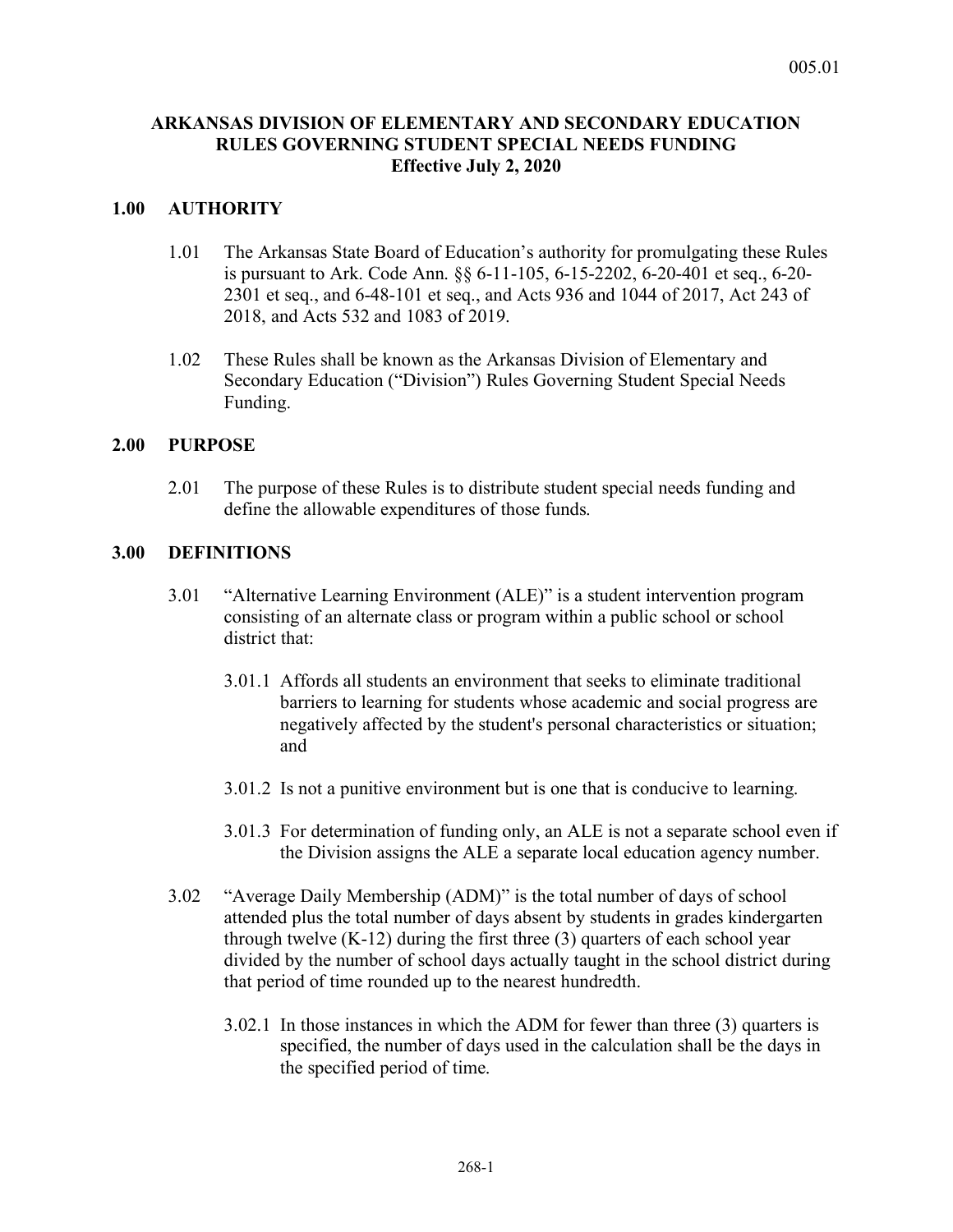# **ARKANSAS DIVISION OF ELEMENTARY AND SECONDARY EDUCATION RULES GOVERNING STUDENT SPECIAL NEEDS FUNDING Effective July 2, 2020**

# **1.00 AUTHORITY**

- 1.01 The Arkansas State Board of Education's authority for promulgating these Rules is pursuant to Ark. Code Ann. §§ 6-11-105, 6-15-2202, 6-20-401 et seq., 6-20- 2301 et seq., and 6-48-101 et seq., and Acts 936 and 1044 of 2017, Act 243 of 2018, and Acts 532 and 1083 of 2019.
- 1.02 These Rules shall be known as the Arkansas Division of Elementary and Secondary Education ("Division") Rules Governing Student Special Needs Funding.

#### **2.00 PURPOSE**

2.01 The purpose of these Rules is to distribute student special needs funding and define the allowable expenditures of those funds.

## **3.00 DEFINITIONS**

- 3.01 "Alternative Learning Environment (ALE)" is a student intervention program consisting of an alternate class or program within a public school or school district that:
	- 3.01.1 Affords all students an environment that seeks to eliminate traditional barriers to learning for students whose academic and social progress are negatively affected by the student's personal characteristics or situation; and
	- 3.01.2 Is not a punitive environment but is one that is conducive to learning.
	- 3.01.3 For determination of funding only, an ALE is not a separate school even if the Division assigns the ALE a separate local education agency number.
- 3.02 "Average Daily Membership (ADM)" is the total number of days of school attended plus the total number of days absent by students in grades kindergarten through twelve  $(K-12)$  during the first three  $(3)$  quarters of each school year divided by the number of school days actually taught in the school district during that period of time rounded up to the nearest hundredth.
	- 3.02.1 In those instances in which the ADM for fewer than three (3) quarters is specified, the number of days used in the calculation shall be the days in the specified period of time.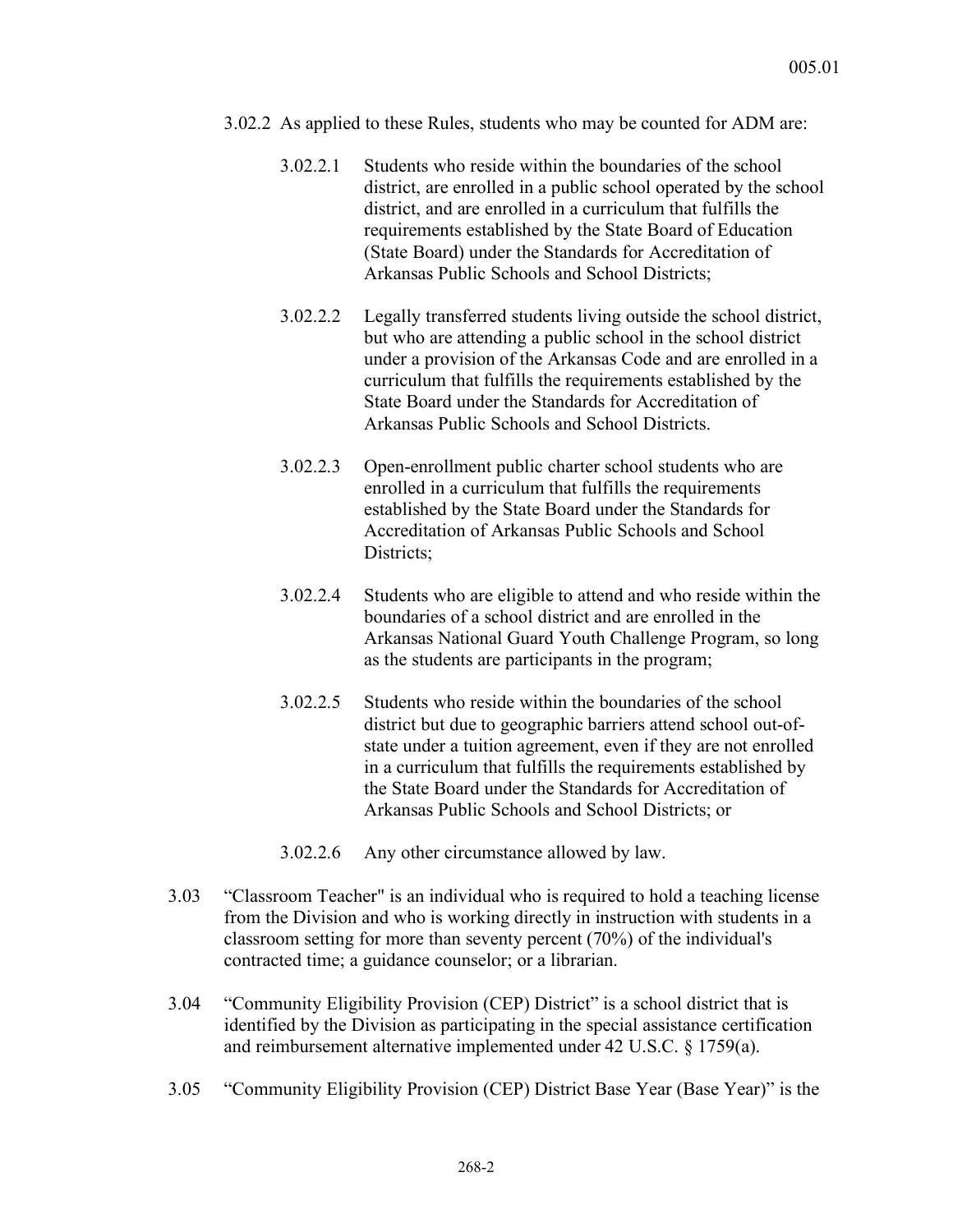- 3.02.2 As applied to these Rules, students who may be counted for ADM are:
	- 3.02.2.1 Students who reside within the boundaries of the school district, are enrolled in a public school operated by the school district, and are enrolled in a curriculum that fulfills the requirements established by the State Board of Education (State Board) under the Standards for Accreditation of Arkansas Public Schools and School Districts;
	- 3.02.2.2 Legally transferred students living outside the school district, but who are attending a public school in the school district under a provision of the Arkansas Code and are enrolled in a curriculum that fulfills the requirements established by the State Board under the Standards for Accreditation of Arkansas Public Schools and School Districts.
	- 3.02.2.3 Open-enrollment public charter school students who are enrolled in a curriculum that fulfills the requirements established by the State Board under the Standards for Accreditation of Arkansas Public Schools and School Districts;
	- 3.02.2.4 Students who are eligible to attend and who reside within the boundaries of a school district and are enrolled in the Arkansas National Guard Youth Challenge Program, so long as the students are participants in the program;
	- 3.02.2.5 Students who reside within the boundaries of the school district but due to geographic barriers attend school out-ofstate under a tuition agreement, even if they are not enrolled in a curriculum that fulfills the requirements established by the State Board under the Standards for Accreditation of Arkansas Public Schools and School Districts; or
	- 3.02.2.6 Any other circumstance allowed by law.
- 3.03 "Classroom Teacher" is an individual who is required to hold a teaching license from the Division and who is working directly in instruction with students in a classroom setting for more than seventy percent (70%) of the individual's contracted time; a guidance counselor; or a librarian.
- 3.04 "Community Eligibility Provision (CEP) District" is a school district that is identified by the Division as participating in the special assistance certification and reimbursement alternative implemented under 42 U.S.C. § 1759(a).
- 3.05 "Community Eligibility Provision (CEP) District Base Year (Base Year)" is the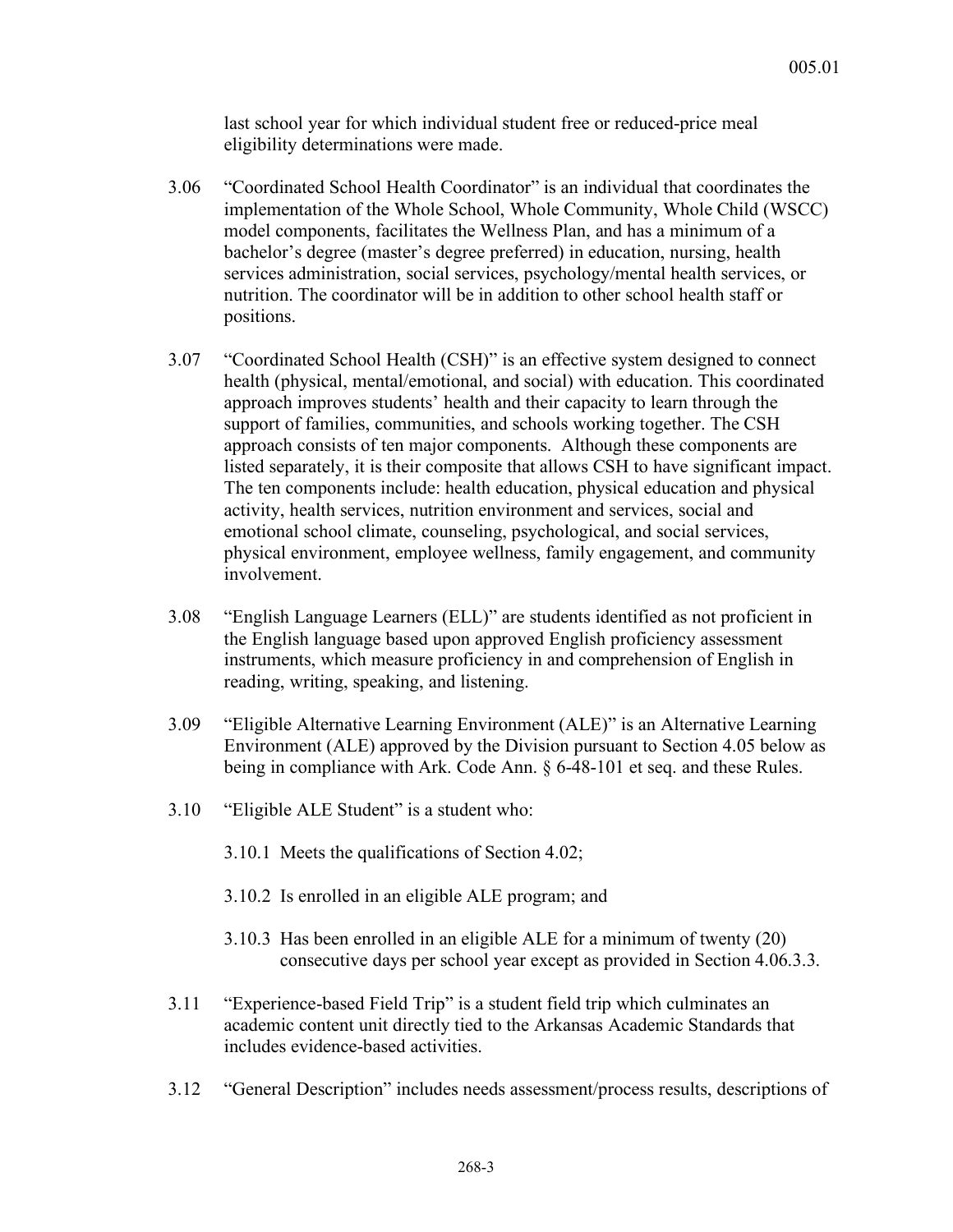last school year for which individual student free or reduced-price meal eligibility determinations were made.

- 3.06 "Coordinated School Health Coordinator" is an individual that coordinates the implementation of the Whole School, Whole Community, Whole Child (WSCC) model components, facilitates the Wellness Plan, and has a minimum of a bachelor's degree (master's degree preferred) in education, nursing, health services administration, social services, psychology/mental health services, or nutrition. The coordinator will be in addition to other school health staff or positions.
- 3.07 "Coordinated School Health (CSH)" is an effective system designed to connect health (physical, mental/emotional, and social) with education. This coordinated approach improves students' health and their capacity to learn through the support of families, communities, and schools working together. The CSH approach consists of ten major components. Although these components are listed separately, it is their composite that allows CSH to have significant impact. The ten components include: health education, physical education and physical activity, health services, nutrition environment and services, social and emotional school climate, counseling, psychological, and social services, physical environment, employee wellness, family engagement, and community involvement.
- 3.08 "English Language Learners (ELL)" are students identified as not proficient in the English language based upon approved English proficiency assessment instruments, which measure proficiency in and comprehension of English in reading, writing, speaking, and listening.
- 3.09 "Eligible Alternative Learning Environment (ALE)" is an Alternative Learning Environment (ALE) approved by the Division pursuant to Section 4.05 below as being in compliance with Ark. Code Ann. § 6-48-101 et seq. and these Rules.
- 3.10 "Eligible ALE Student" is a student who:
	- 3.10.1 Meets the qualifications of Section 4.02;
	- 3.10.2 Is enrolled in an eligible ALE program; and
	- 3.10.3 Has been enrolled in an eligible ALE for a minimum of twenty (20) consecutive days per school year except as provided in Section 4.06.3.3.
- 3.11 "Experience-based Field Trip" is a student field trip which culminates an academic content unit directly tied to the Arkansas Academic Standards that includes evidence-based activities.
- 3.12 "General Description" includes needs assessment/process results, descriptions of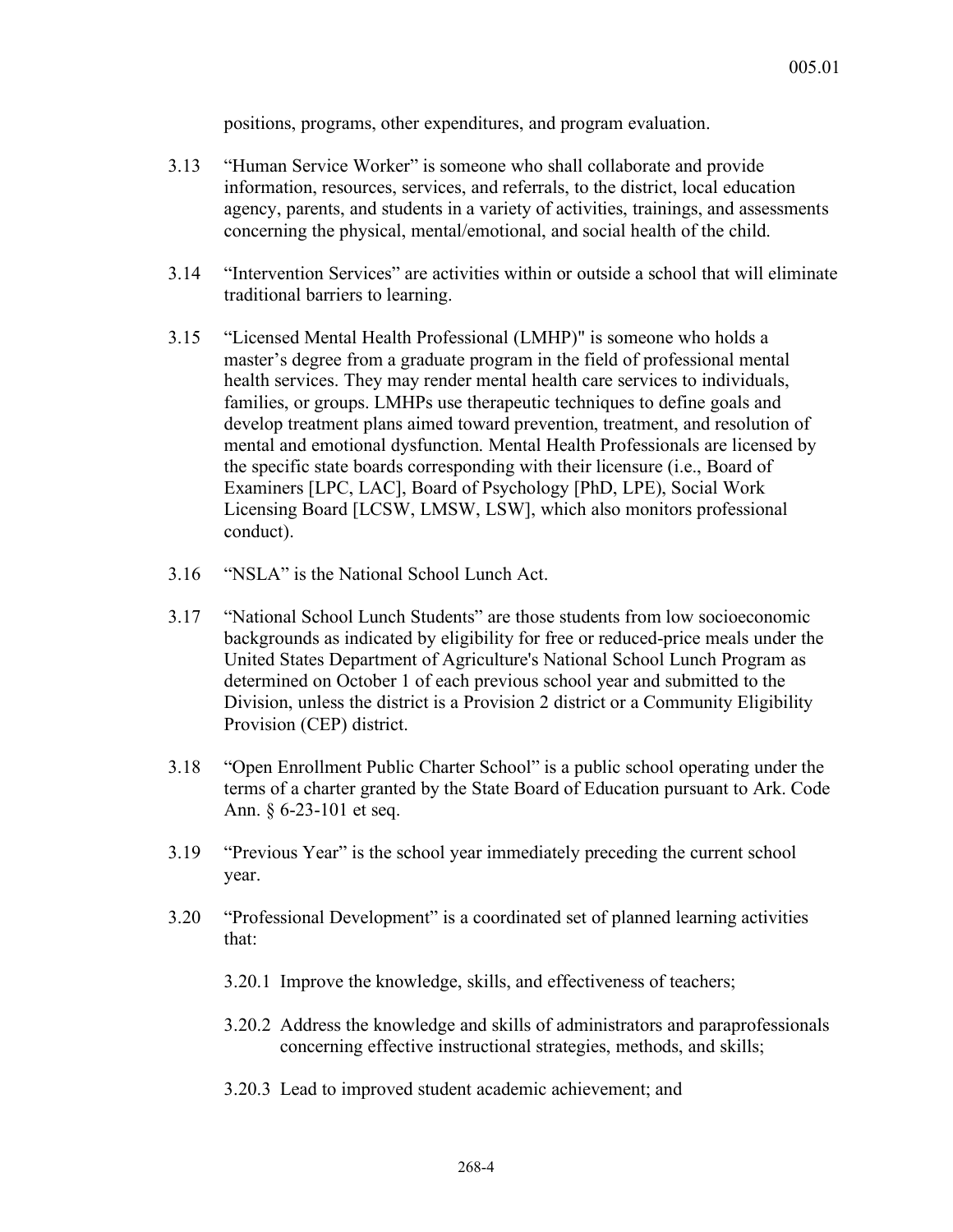positions, programs, other expenditures, and program evaluation.

- 3.13 "Human Service Worker" is someone who shall collaborate and provide information, resources, services, and referrals, to the district, local education agency, parents, and students in a variety of activities, trainings, and assessments concerning the physical, mental/emotional, and social health of the child.
- 3.14 "Intervention Services" are activities within or outside a school that will eliminate traditional barriers to learning.
- 3.15 "Licensed Mental Health Professional (LMHP)" is someone who holds a master's degree from a graduate program in the field of professional mental health services. They may render mental health care services to individuals, families, or groups. LMHPs use therapeutic techniques to define goals and develop treatment plans aimed toward prevention, treatment, and resolution of mental and emotional dysfunction. Mental Health Professionals are licensed by the specific state boards corresponding with their licensure (i.e., Board of Examiners [LPC, LAC], Board of Psychology [PhD, LPE), Social Work Licensing Board [LCSW, LMSW, LSW], which also monitors professional conduct).
- 3.16 "NSLA" is the National School Lunch Act.
- 3.17 "National School Lunch Students" are those students from low socioeconomic backgrounds as indicated by eligibility for free or reduced-price meals under the United States Department of Agriculture's National School Lunch Program as determined on October 1 of each previous school year and submitted to the Division, unless the district is a Provision 2 district or a Community Eligibility Provision (CEP) district.
- 3.18 "Open Enrollment Public Charter School" is a public school operating under the terms of a charter granted by the State Board of Education pursuant to Ark. Code Ann. § 6-23-101 et seq.
- 3.19 "Previous Year" is the school year immediately preceding the current school year.
- 3.20 "Professional Development" is a coordinated set of planned learning activities that:
	- 3.20.1 Improve the knowledge, skills, and effectiveness of teachers;
	- 3.20.2 Address the knowledge and skills of administrators and paraprofessionals concerning effective instructional strategies, methods, and skills;
	- 3.20.3 Lead to improved student academic achievement; and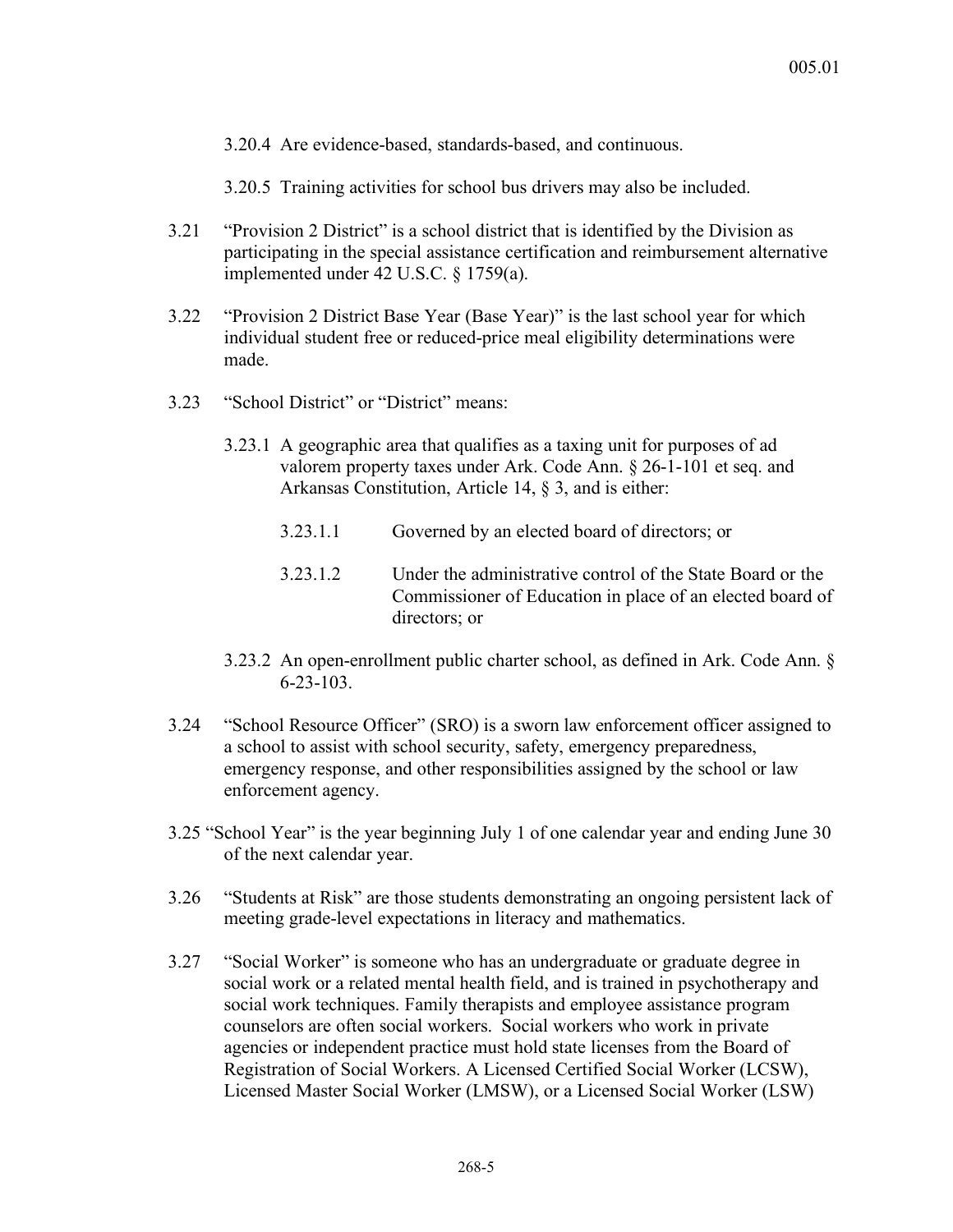3.20.4 Are evidence-based, standards-based, and continuous.

3.20.5 Training activities for school bus drivers may also be included.

- 3.21 "Provision 2 District" is a school district that is identified by the Division as participating in the special assistance certification and reimbursement alternative implemented under 42 U.S.C. § 1759(a).
- 3.22 "Provision 2 District Base Year (Base Year)" is the last school year for which individual student free or reduced-price meal eligibility determinations were made.
- 3.23 "School District" or "District" means:
	- 3.23.1 A geographic area that qualifies as a taxing unit for purposes of ad valorem property taxes under Ark. Code Ann. § 26-1-101 et seq. and Arkansas Constitution, Article 14, § 3, and is either:
		- 3.23.1.1 Governed by an elected board of directors; or
		- 3.23.1.2 Under the administrative control of the State Board or the Commissioner of Education in place of an elected board of directors; or
	- 3.23.2 An open-enrollment public charter school, as defined in Ark. Code Ann. § 6-23-103.
- 3.24 "School Resource Officer" (SRO) is a sworn law enforcement officer assigned to a school to assist with school security, safety, emergency preparedness, emergency response, and other responsibilities assigned by the school or law enforcement agency.
- 3.25 "School Year" is the year beginning July 1 of one calendar year and ending June 30 of the next calendar year.
- 3.26 "Students at Risk" are those students demonstrating an ongoing persistent lack of meeting grade-level expectations in literacy and mathematics.
- 3.27 "Social Worker" is someone who has an undergraduate or graduate degree in social work or a related mental health field, and is trained in psychotherapy and social work techniques. Family therapists and employee assistance program counselors are often social workers. Social workers who work in private agencies or independent practice must hold state licenses from the Board of Registration of Social Workers. A Licensed Certified Social Worker (LCSW), Licensed Master Social Worker (LMSW), or a Licensed Social Worker (LSW)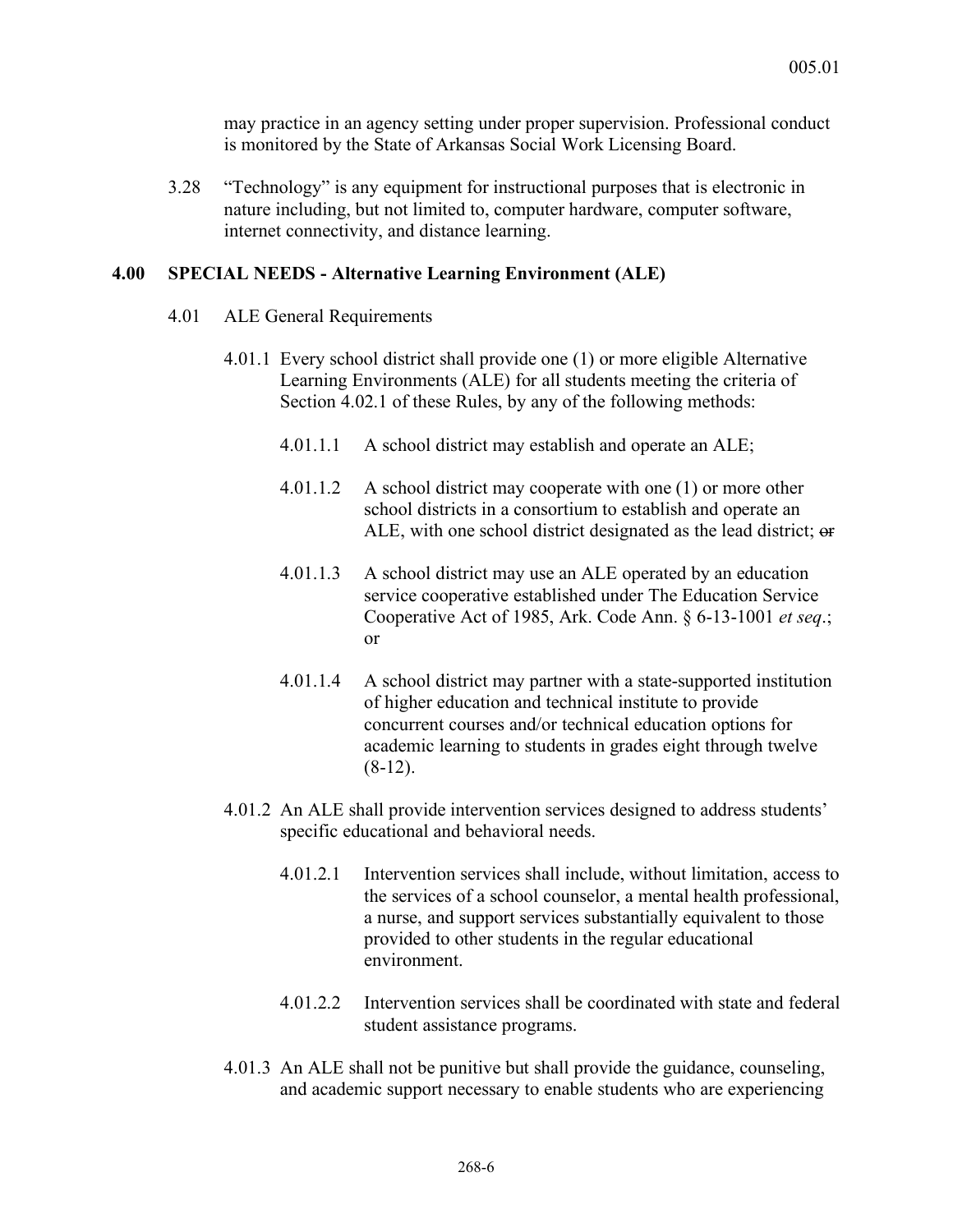may practice in an agency setting under proper supervision. Professional conduct is monitored by the State of Arkansas Social Work Licensing Board.

3.28 "Technology" is any equipment for instructional purposes that is electronic in nature including, but not limited to, computer hardware, computer software, internet connectivity, and distance learning.

#### **4.00 SPECIAL NEEDS - Alternative Learning Environment (ALE)**

- 4.01 ALE General Requirements
	- 4.01.1 Every school district shall provide one (1) or more eligible Alternative Learning Environments (ALE) for all students meeting the criteria of Section 4.02.1 of these Rules, by any of the following methods:
		- 4.01.1.1 A school district may establish and operate an ALE;
		- 4.01.1.2 A school district may cooperate with one (1) or more other school districts in a consortium to establish and operate an ALE, with one school district designated as the lead district; or
		- 4.01.1.3 A school district may use an ALE operated by an education service cooperative established under The Education Service Cooperative Act of 1985, Ark. Code Ann. § 6-13-1001 *et seq*.; or
		- 4.01.1.4 A school district may partner with a state-supported institution of higher education and technical institute to provide concurrent courses and/or technical education options for academic learning to students in grades eight through twelve  $(8-12)$ .
	- 4.01.2 An ALE shall provide intervention services designed to address students' specific educational and behavioral needs.
		- 4.01.2.1 Intervention services shall include, without limitation, access to the services of a school counselor, a mental health professional, a nurse, and support services substantially equivalent to those provided to other students in the regular educational environment.
		- 4.01.2.2 Intervention services shall be coordinated with state and federal student assistance programs.
	- 4.01.3 An ALE shall not be punitive but shall provide the guidance, counseling, and academic support necessary to enable students who are experiencing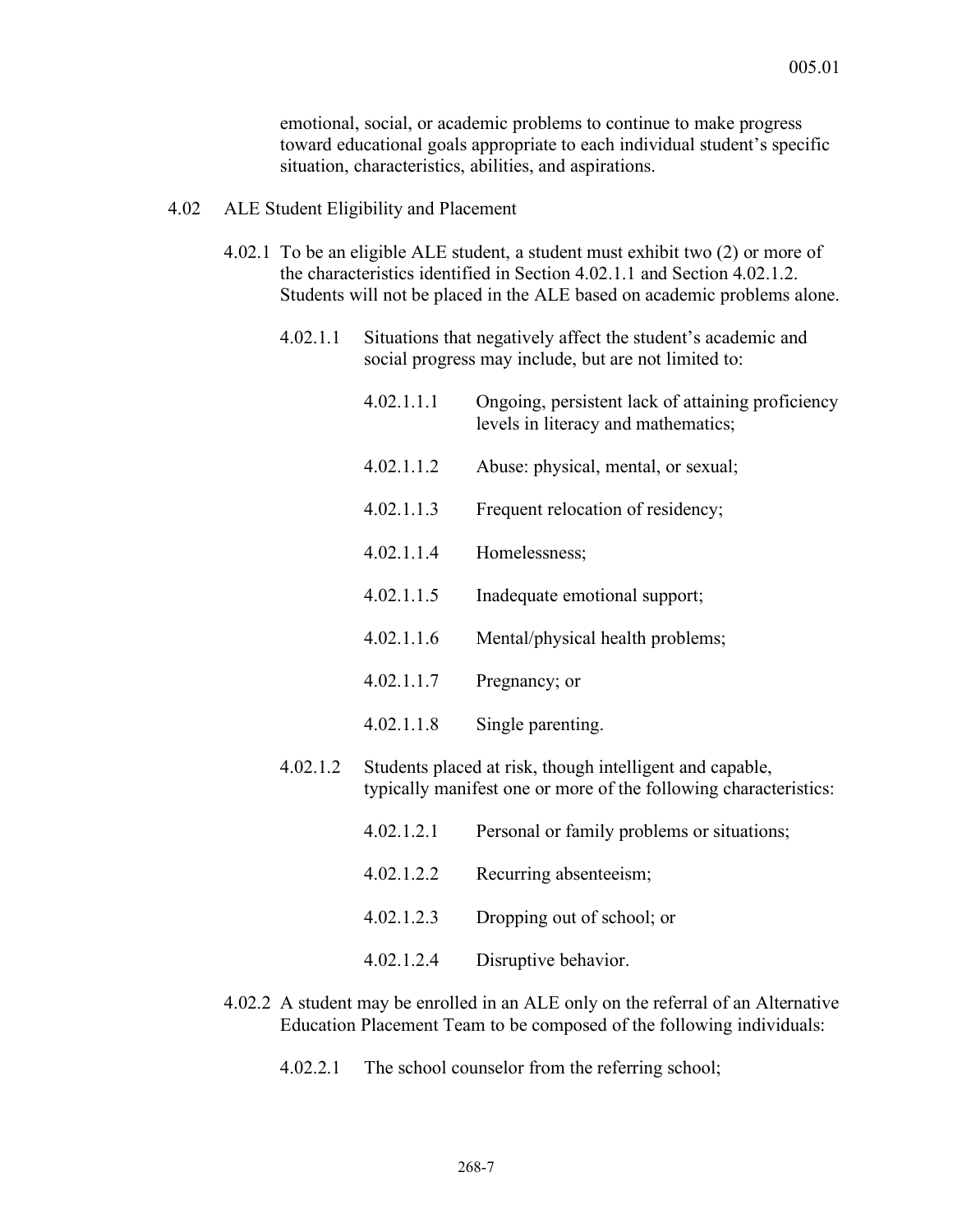emotional, social, or academic problems to continue to make progress toward educational goals appropriate to each individual student's specific situation, characteristics, abilities, and aspirations.

#### 4.02 ALE Student Eligibility and Placement

- 4.02.1 To be an eligible ALE student, a student must exhibit two (2) or more of the characteristics identified in Section 4.02.1.1 and Section 4.02.1.2. Students will not be placed in the ALE based on academic problems alone.
	- 4.02.1.1 Situations that negatively affect the student's academic and social progress may include, but are not limited to:

|          | 4.02.1.1.1                                                                                                                   | Ongoing, persistent lack of attaining proficiency<br>levels in literacy and mathematics; |
|----------|------------------------------------------------------------------------------------------------------------------------------|------------------------------------------------------------------------------------------|
|          | 4.02.1.1.2                                                                                                                   | Abuse: physical, mental, or sexual;                                                      |
|          | 4.02.1.1.3                                                                                                                   | Frequent relocation of residency;                                                        |
|          | 4.02.1.1.4                                                                                                                   | Homelessness;                                                                            |
|          | 4.02.1.1.5                                                                                                                   | Inadequate emotional support;                                                            |
|          | 4.02.1.1.6                                                                                                                   | Mental/physical health problems;                                                         |
|          | 4.02.1.1.7                                                                                                                   | Pregnancy; or                                                                            |
|          | 4.02.1.1.8                                                                                                                   | Single parenting.                                                                        |
| 4.02.1.2 | Students placed at risk, though intelligent and capable,<br>typically manifest one or more of the following characteristics: |                                                                                          |
|          | 4.02.1.2.1                                                                                                                   | Personal or family problems or situations;                                               |
|          | 4.02.1.2.2                                                                                                                   | Recurring absenteeism;                                                                   |
|          | 4.02.1.2.3                                                                                                                   | Dropping out of school; or                                                               |
|          | 4.02.1.2.4                                                                                                                   | Disruptive behavior.                                                                     |

- 4.02.2 A student may be enrolled in an ALE only on the referral of an Alternative Education Placement Team to be composed of the following individuals:
	- 4.02.2.1 The school counselor from the referring school;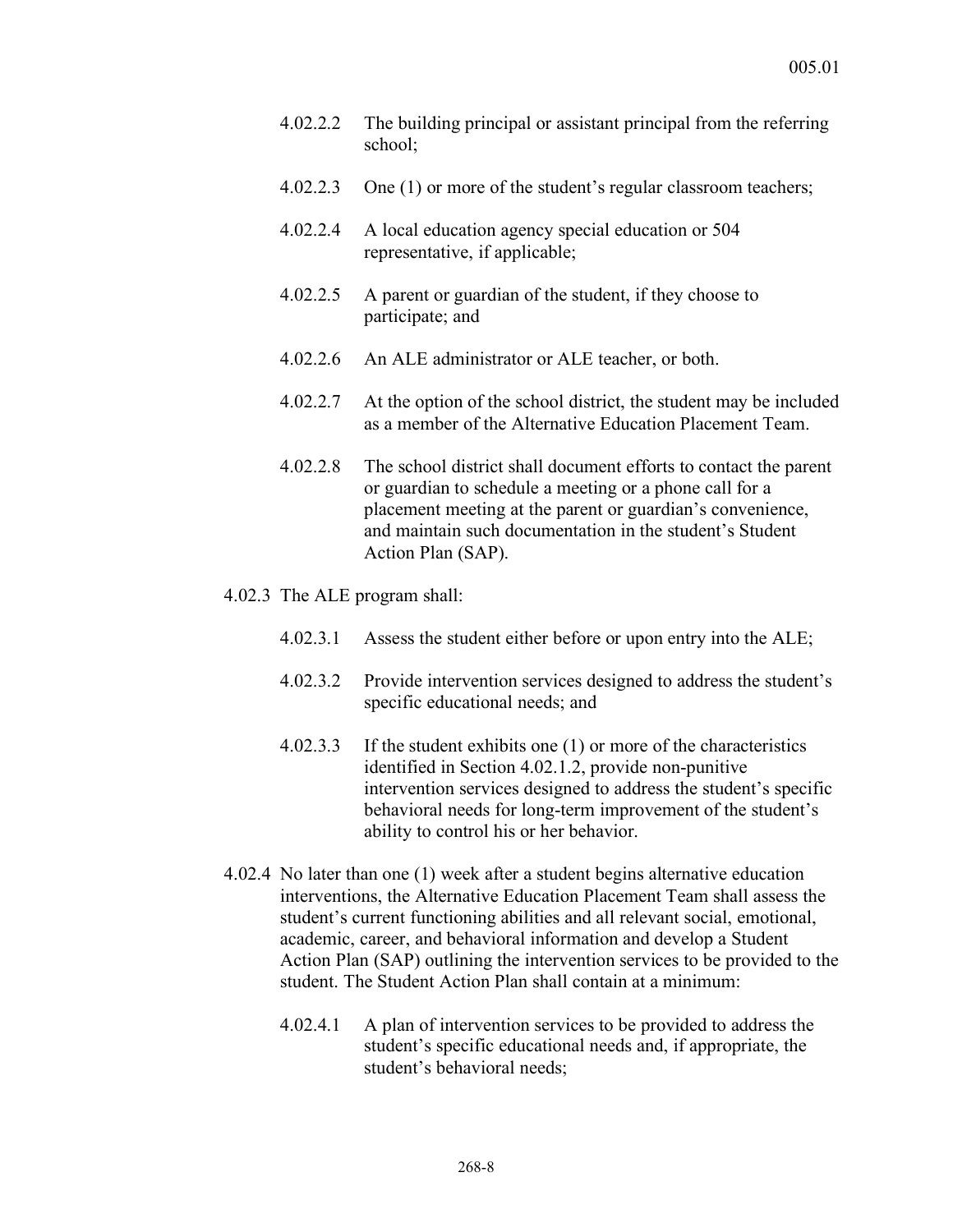- 4.02.2.2 The building principal or assistant principal from the referring school;
- 4.02.2.3 One (1) or more of the student's regular classroom teachers;
- 4.02.2.4 A local education agency special education or 504 representative, if applicable;
- 4.02.2.5 A parent or guardian of the student, if they choose to participate; and
- 4.02.2.6 An ALE administrator or ALE teacher, or both.
- 4.02.2.7 At the option of the school district, the student may be included as a member of the Alternative Education Placement Team.
- 4.02.2.8 The school district shall document efforts to contact the parent or guardian to schedule a meeting or a phone call for a placement meeting at the parent or guardian's convenience, and maintain such documentation in the student's Student Action Plan (SAP).
- 4.02.3 The ALE program shall:
	- 4.02.3.1 Assess the student either before or upon entry into the ALE;
	- 4.02.3.2 Provide intervention services designed to address the student's specific educational needs; and
	- 4.02.3.3 If the student exhibits one (1) or more of the characteristics identified in Section 4.02.1.2, provide non-punitive intervention services designed to address the student's specific behavioral needs for long-term improvement of the student's ability to control his or her behavior.
- 4.02.4 No later than one (1) week after a student begins alternative education interventions, the Alternative Education Placement Team shall assess the student's current functioning abilities and all relevant social, emotional, academic, career, and behavioral information and develop a Student Action Plan (SAP) outlining the intervention services to be provided to the student. The Student Action Plan shall contain at a minimum:
	- 4.02.4.1 A plan of intervention services to be provided to address the student's specific educational needs and, if appropriate, the student's behavioral needs;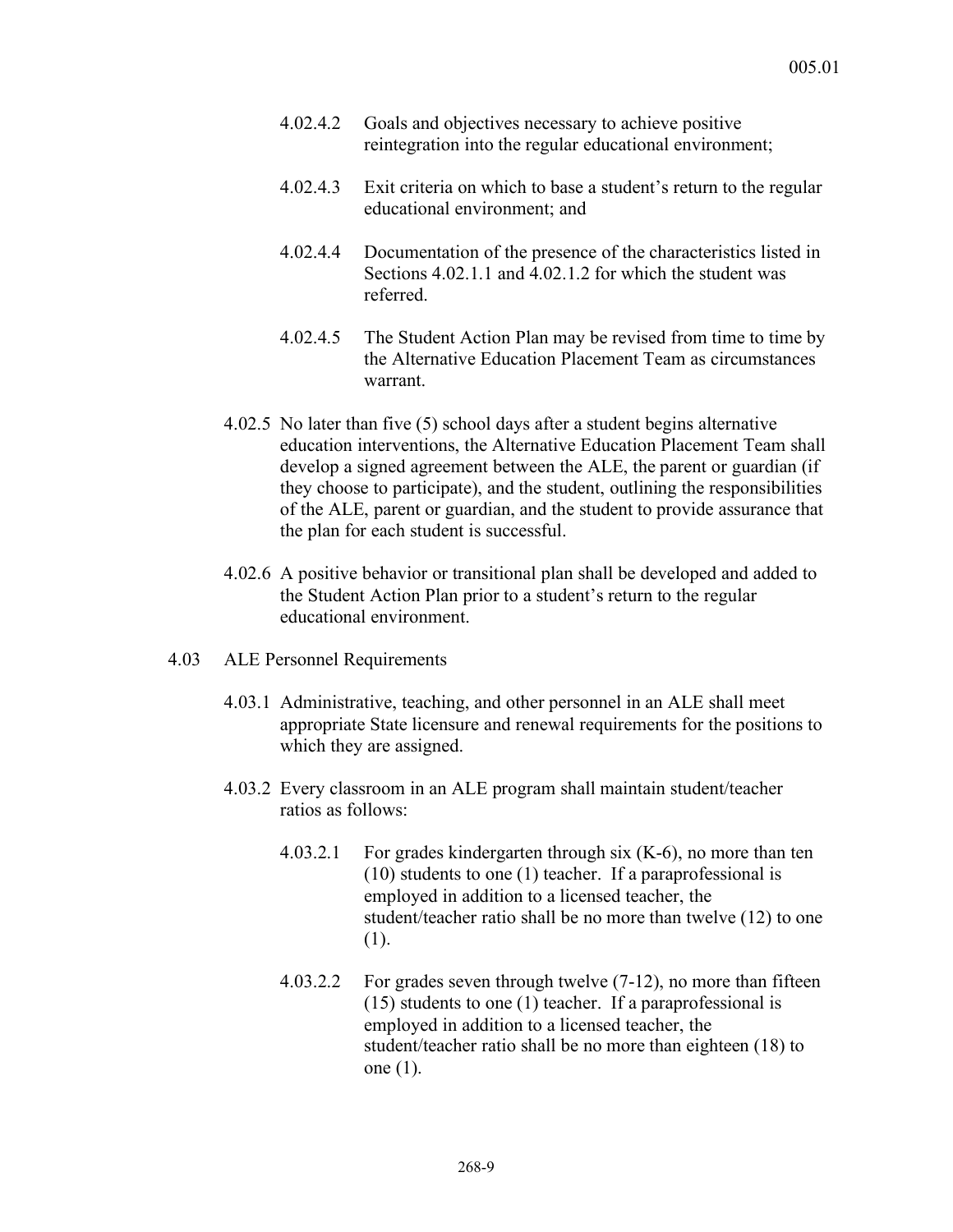- 4.02.4.2 Goals and objectives necessary to achieve positive reintegration into the regular educational environment;
- 4.02.4.3 Exit criteria on which to base a student's return to the regular educational environment; and
- 4.02.4.4 Documentation of the presence of the characteristics listed in Sections 4.02.1.1 and 4.02.1.2 for which the student was referred.
- 4.02.4.5 The Student Action Plan may be revised from time to time by the Alternative Education Placement Team as circumstances warrant.
- 4.02.5 No later than five (5) school days after a student begins alternative education interventions, the Alternative Education Placement Team shall develop a signed agreement between the ALE, the parent or guardian (if they choose to participate), and the student, outlining the responsibilities of the ALE, parent or guardian, and the student to provide assurance that the plan for each student is successful.
- 4.02.6 A positive behavior or transitional plan shall be developed and added to the Student Action Plan prior to a student's return to the regular educational environment.
- 4.03 ALE Personnel Requirements
	- 4.03.1 Administrative, teaching, and other personnel in an ALE shall meet appropriate State licensure and renewal requirements for the positions to which they are assigned.
	- 4.03.2 Every classroom in an ALE program shall maintain student/teacher ratios as follows:
		- 4.03.2.1 For grades kindergarten through six (K-6), no more than ten (10) students to one (1) teacher. If a paraprofessional is employed in addition to a licensed teacher, the student/teacher ratio shall be no more than twelve (12) to one (1).
		- 4.03.2.2 For grades seven through twelve (7-12), no more than fifteen (15) students to one (1) teacher. If a paraprofessional is employed in addition to a licensed teacher, the student/teacher ratio shall be no more than eighteen (18) to one (1).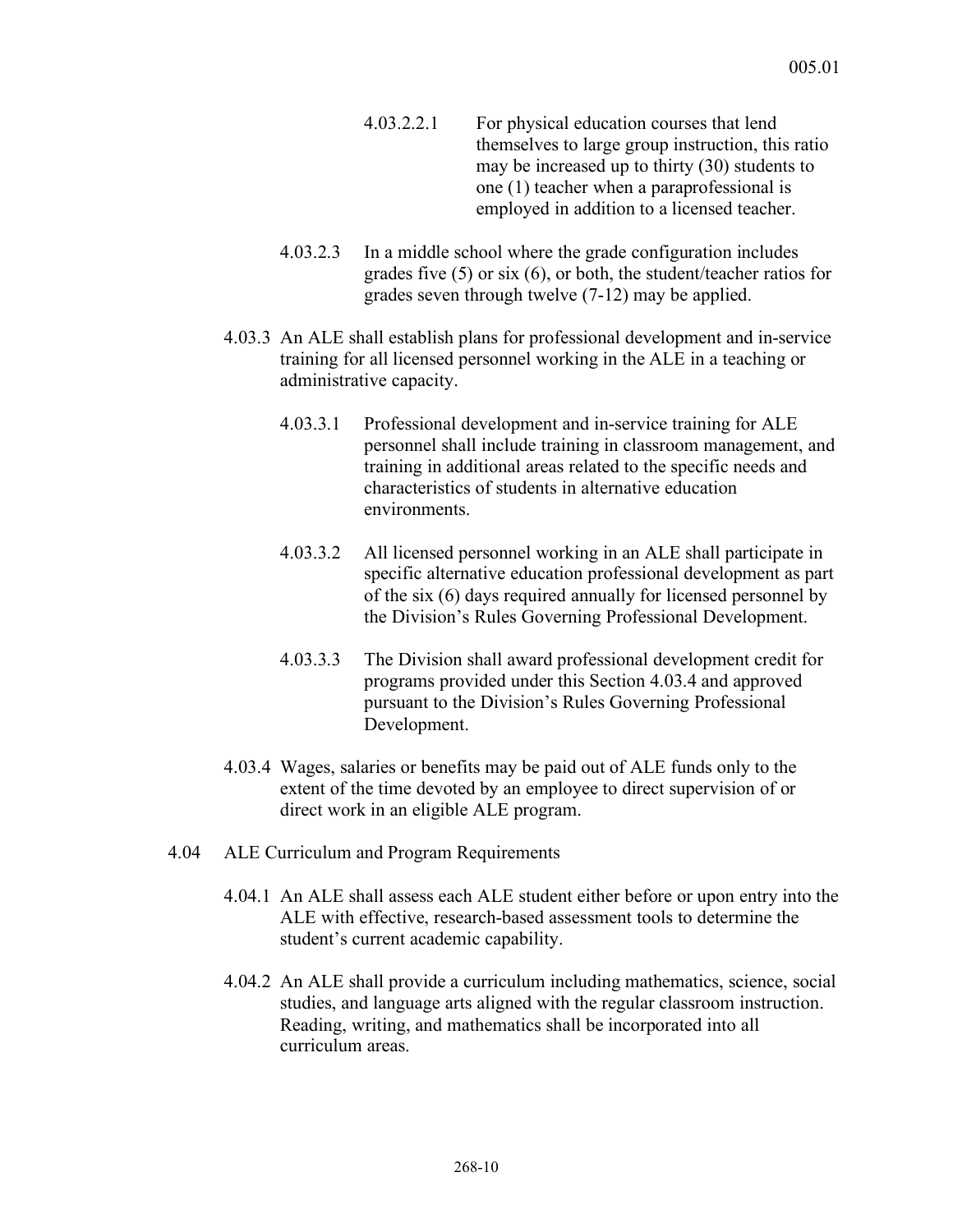- 4.03.2.2.1 For physical education courses that lend themselves to large group instruction, this ratio may be increased up to thirty (30) students to one (1) teacher when a paraprofessional is employed in addition to a licensed teacher.
- 4.03.2.3 In a middle school where the grade configuration includes grades five (5) or six (6), or both, the student/teacher ratios for grades seven through twelve (7-12) may be applied.
- 4.03.3 An ALE shall establish plans for professional development and in-service training for all licensed personnel working in the ALE in a teaching or administrative capacity.
	- 4.03.3.1 Professional development and in-service training for ALE personnel shall include training in classroom management, and training in additional areas related to the specific needs and characteristics of students in alternative education environments.
	- 4.03.3.2 All licensed personnel working in an ALE shall participate in specific alternative education professional development as part of the six (6) days required annually for licensed personnel by the Division's Rules Governing Professional Development.
	- 4.03.3.3 The Division shall award professional development credit for programs provided under this Section 4.03.4 and approved pursuant to the Division's Rules Governing Professional Development.
- 4.03.4 Wages, salaries or benefits may be paid out of ALE funds only to the extent of the time devoted by an employee to direct supervision of or direct work in an eligible ALE program.
- 4.04 ALE Curriculum and Program Requirements
	- 4.04.1 An ALE shall assess each ALE student either before or upon entry into the ALE with effective, research-based assessment tools to determine the student's current academic capability.
	- 4.04.2 An ALE shall provide a curriculum including mathematics, science, social studies, and language arts aligned with the regular classroom instruction. Reading, writing, and mathematics shall be incorporated into all curriculum areas.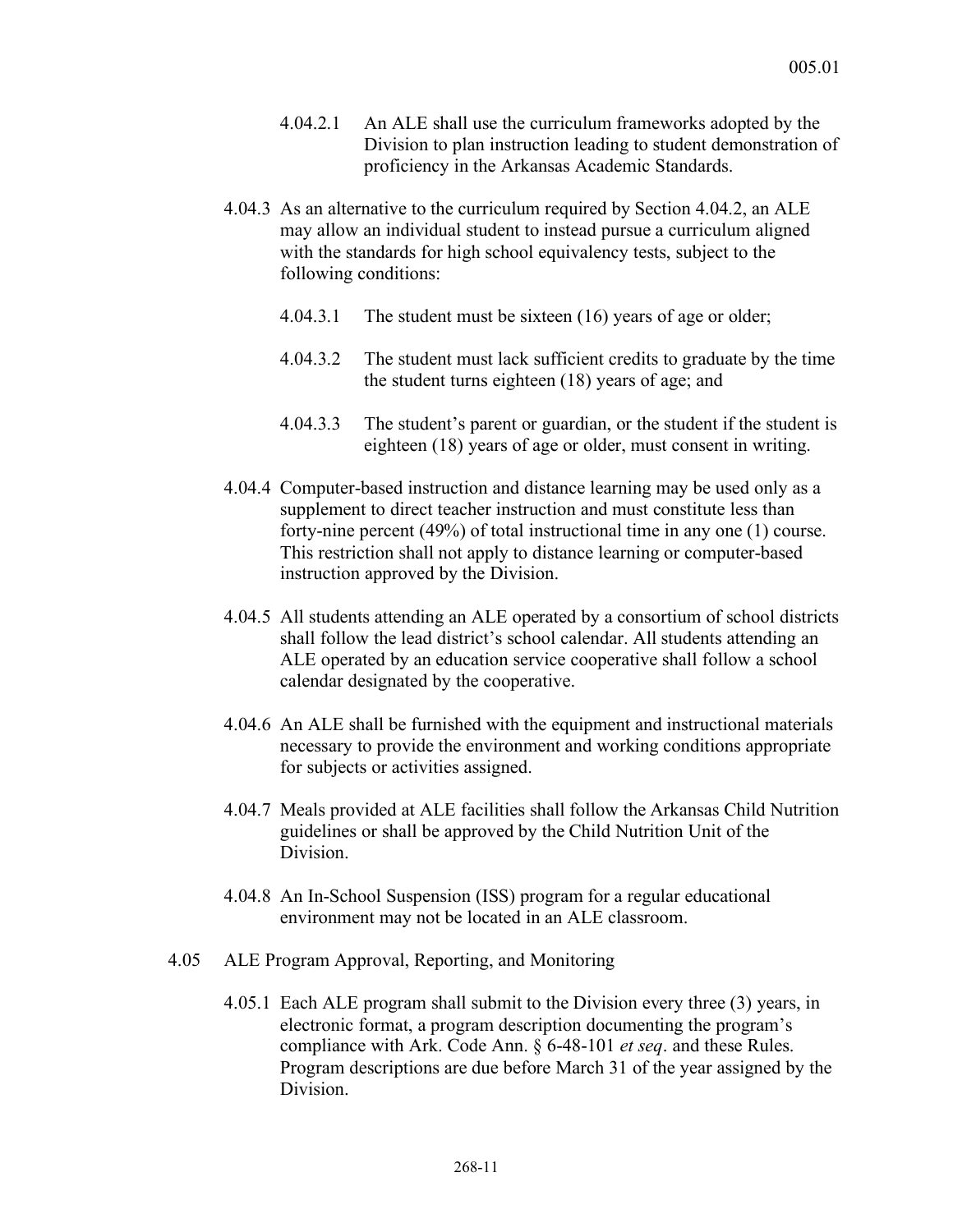- 4.04.2.1 An ALE shall use the curriculum frameworks adopted by the Division to plan instruction leading to student demonstration of proficiency in the Arkansas Academic Standards.
- 4.04.3 As an alternative to the curriculum required by Section 4.04.2, an ALE may allow an individual student to instead pursue a curriculum aligned with the standards for high school equivalency tests, subject to the following conditions:
	- 4.04.3.1 The student must be sixteen (16) years of age or older;
	- 4.04.3.2 The student must lack sufficient credits to graduate by the time the student turns eighteen (18) years of age; and
	- 4.04.3.3 The student's parent or guardian, or the student if the student is eighteen (18) years of age or older, must consent in writing.
- 4.04.4 Computer-based instruction and distance learning may be used only as a supplement to direct teacher instruction and must constitute less than forty-nine percent (49%) of total instructional time in any one (1) course. This restriction shall not apply to distance learning or computer-based instruction approved by the Division.
- 4.04.5 All students attending an ALE operated by a consortium of school districts shall follow the lead district's school calendar. All students attending an ALE operated by an education service cooperative shall follow a school calendar designated by the cooperative.
- 4.04.6 An ALE shall be furnished with the equipment and instructional materials necessary to provide the environment and working conditions appropriate for subjects or activities assigned.
- 4.04.7 Meals provided at ALE facilities shall follow the Arkansas Child Nutrition guidelines or shall be approved by the Child Nutrition Unit of the Division.
- 4.04.8 An In-School Suspension (ISS) program for a regular educational environment may not be located in an ALE classroom.
- 4.05 ALE Program Approval, Reporting, and Monitoring
	- 4.05.1 Each ALE program shall submit to the Division every three (3) years, in electronic format, a program description documenting the program's compliance with Ark. Code Ann. § 6-48-101 *et seq*. and these Rules. Program descriptions are due before March 31 of the year assigned by the Division.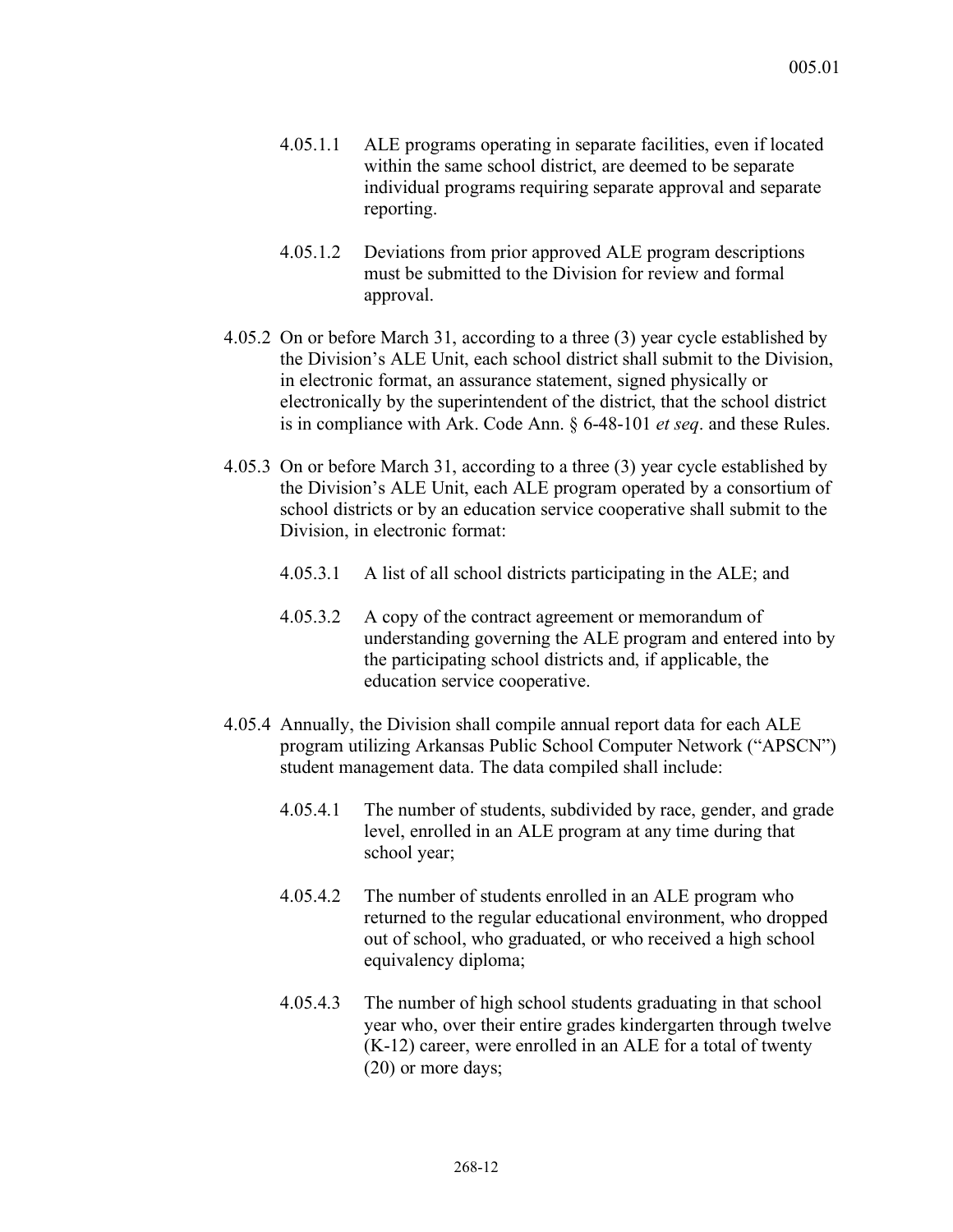- 4.05.1.1 ALE programs operating in separate facilities, even if located within the same school district, are deemed to be separate individual programs requiring separate approval and separate reporting.
- 4.05.1.2 Deviations from prior approved ALE program descriptions must be submitted to the Division for review and formal approval.
- 4.05.2 On or before March 31, according to a three (3) year cycle established by the Division's ALE Unit, each school district shall submit to the Division, in electronic format, an assurance statement, signed physically or electronically by the superintendent of the district, that the school district is in compliance with Ark. Code Ann. § 6-48-101 *et seq*. and these Rules.
- 4.05.3 On or before March 31, according to a three (3) year cycle established by the Division's ALE Unit, each ALE program operated by a consortium of school districts or by an education service cooperative shall submit to the Division, in electronic format:
	- 4.05.3.1 A list of all school districts participating in the ALE; and
	- 4.05.3.2 A copy of the contract agreement or memorandum of understanding governing the ALE program and entered into by the participating school districts and, if applicable, the education service cooperative.
- 4.05.4 Annually, the Division shall compile annual report data for each ALE program utilizing Arkansas Public School Computer Network ("APSCN") student management data. The data compiled shall include:
	- 4.05.4.1 The number of students, subdivided by race, gender, and grade level, enrolled in an ALE program at any time during that school year;
	- 4.05.4.2 The number of students enrolled in an ALE program who returned to the regular educational environment, who dropped out of school, who graduated, or who received a high school equivalency diploma;
	- 4.05.4.3 The number of high school students graduating in that school year who, over their entire grades kindergarten through twelve (K-12) career, were enrolled in an ALE for a total of twenty (20) or more days;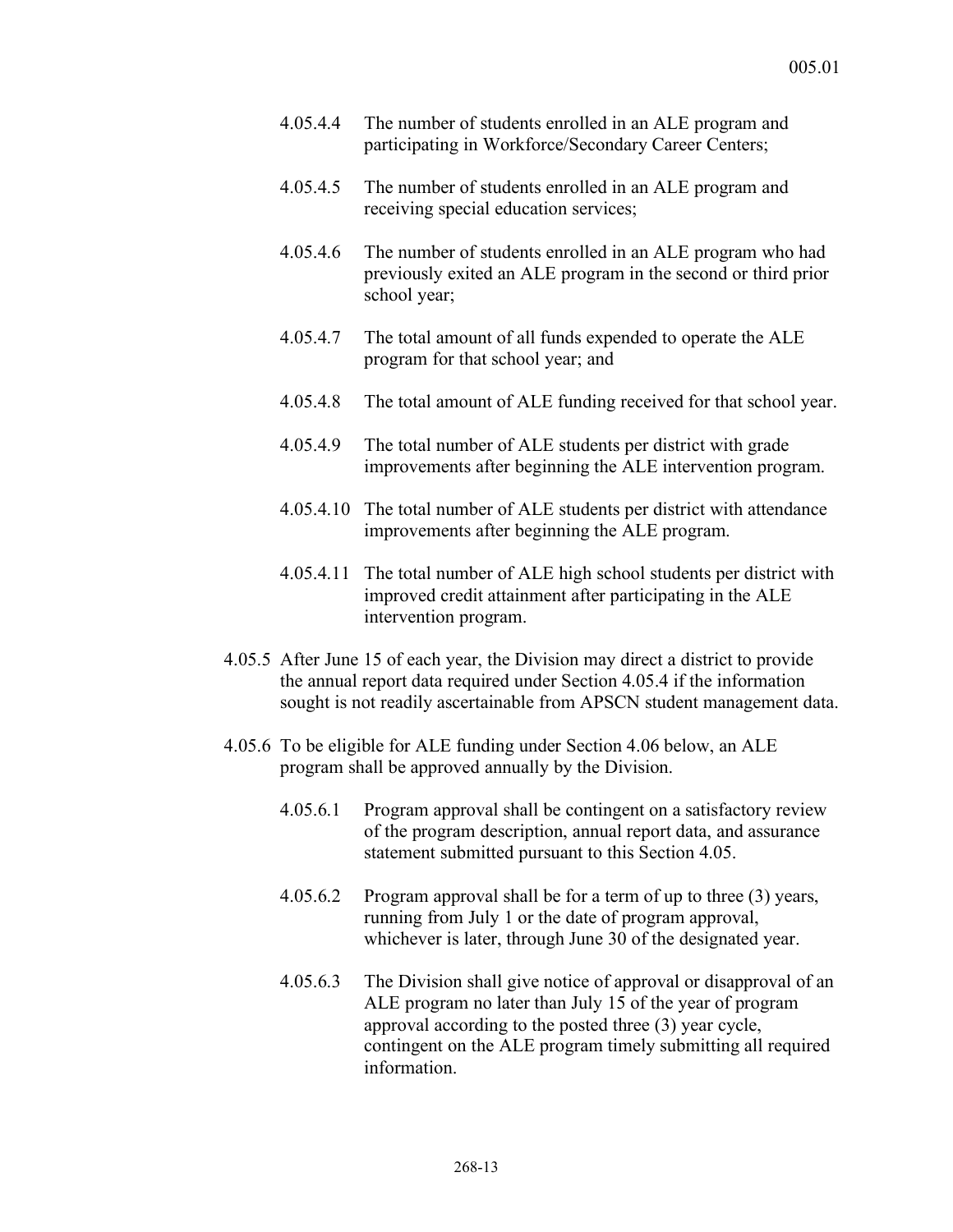- 4.05.4.4 The number of students enrolled in an ALE program and participating in Workforce/Secondary Career Centers;
- 4.05.4.5 The number of students enrolled in an ALE program and receiving special education services;
- 4.05.4.6 The number of students enrolled in an ALE program who had previously exited an ALE program in the second or third prior school year;
- 4.05.4.7 The total amount of all funds expended to operate the ALE program for that school year; and
- 4.05.4.8 The total amount of ALE funding received for that school year.
- 4.05.4.9 The total number of ALE students per district with grade improvements after beginning the ALE intervention program.
- 4.05.4.10 The total number of ALE students per district with attendance improvements after beginning the ALE program.
- 4.05.4.11 The total number of ALE high school students per district with improved credit attainment after participating in the ALE intervention program.
- 4.05.5 After June 15 of each year, the Division may direct a district to provide the annual report data required under Section 4.05.4 if the information sought is not readily ascertainable from APSCN student management data.
- 4.05.6 To be eligible for ALE funding under Section 4.06 below, an ALE program shall be approved annually by the Division.
	- 4.05.6.1 Program approval shall be contingent on a satisfactory review of the program description, annual report data, and assurance statement submitted pursuant to this Section 4.05.
	- 4.05.6.2 Program approval shall be for a term of up to three (3) years, running from July 1 or the date of program approval, whichever is later, through June 30 of the designated year.
	- 4.05.6.3 The Division shall give notice of approval or disapproval of an ALE program no later than July 15 of the year of program approval according to the posted three (3) year cycle, contingent on the ALE program timely submitting all required information.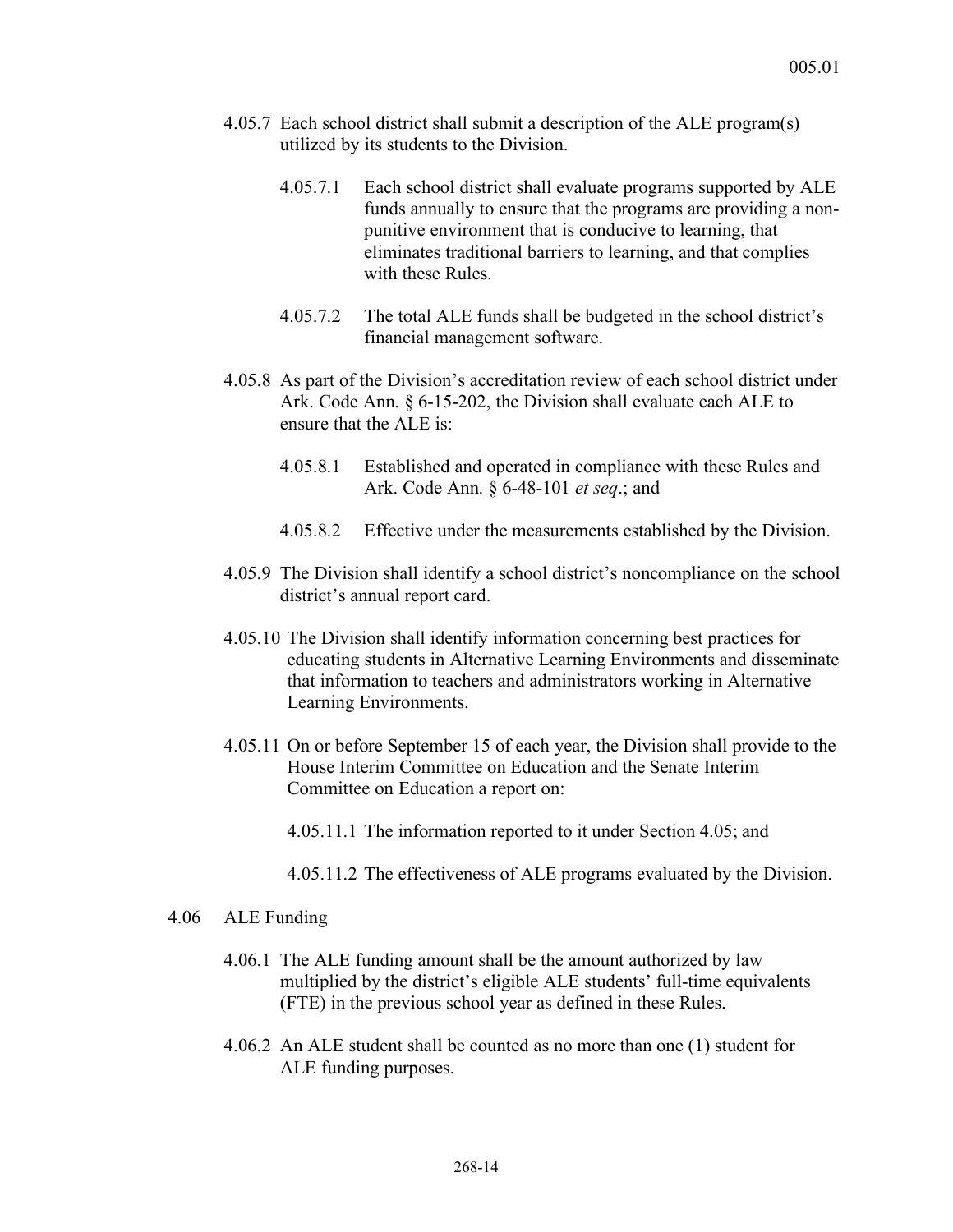- 4.05.7 Each school district shall submit a description of the ALE program(s) utilized by its students to the Division.
	- 4.05.7.1 Each school district shall evaluate programs supported by ALE funds annually to ensure that the programs are providing a nonpunitive environment that is conducive to learning, that eliminates traditional barriers to learning, and that complies with these Rules.
	- 4.05.7.2 The total ALE funds shall be budgeted in the school district's financial management software.
- 4.05.8 As part of the Division's accreditation review of each school district under Ark. Code Ann. § 6-15-202, the Division shall evaluate each ALE to ensure that the ALE is:
	- 4.05.8.1 Established and operated in compliance with these Rules and Ark. Code Ann. § 6-48-101 *et seq*.; and
	- 4.05.8.2 Effective under the measurements established by the Division.
- 4.05.9 The Division shall identify a school district's noncompliance on the school district's annual report card.
- 4.05.10 The Division shall identify information concerning best practices for educating students in Alternative Learning Environments and disseminate that information to teachers and administrators working in Alternative Learning Environments.
- 4.05.11 On or before September 15 of each year, the Division shall provide to the House Interim Committee on Education and the Senate Interim Committee on Education a report on:
	- 4.05.11.1 The information reported to it under Section 4.05; and
	- 4.05.11.2 The effectiveness of ALE programs evaluated by the Division.

#### 4.06 ALE Funding

- 4.06.1 The ALE funding amount shall be the amount authorized by law multiplied by the district's eligible ALE students' full-time equivalents (FTE) in the previous school year as defined in these Rules.
- 4.06.2 An ALE student shall be counted as no more than one (1) student for ALE funding purposes.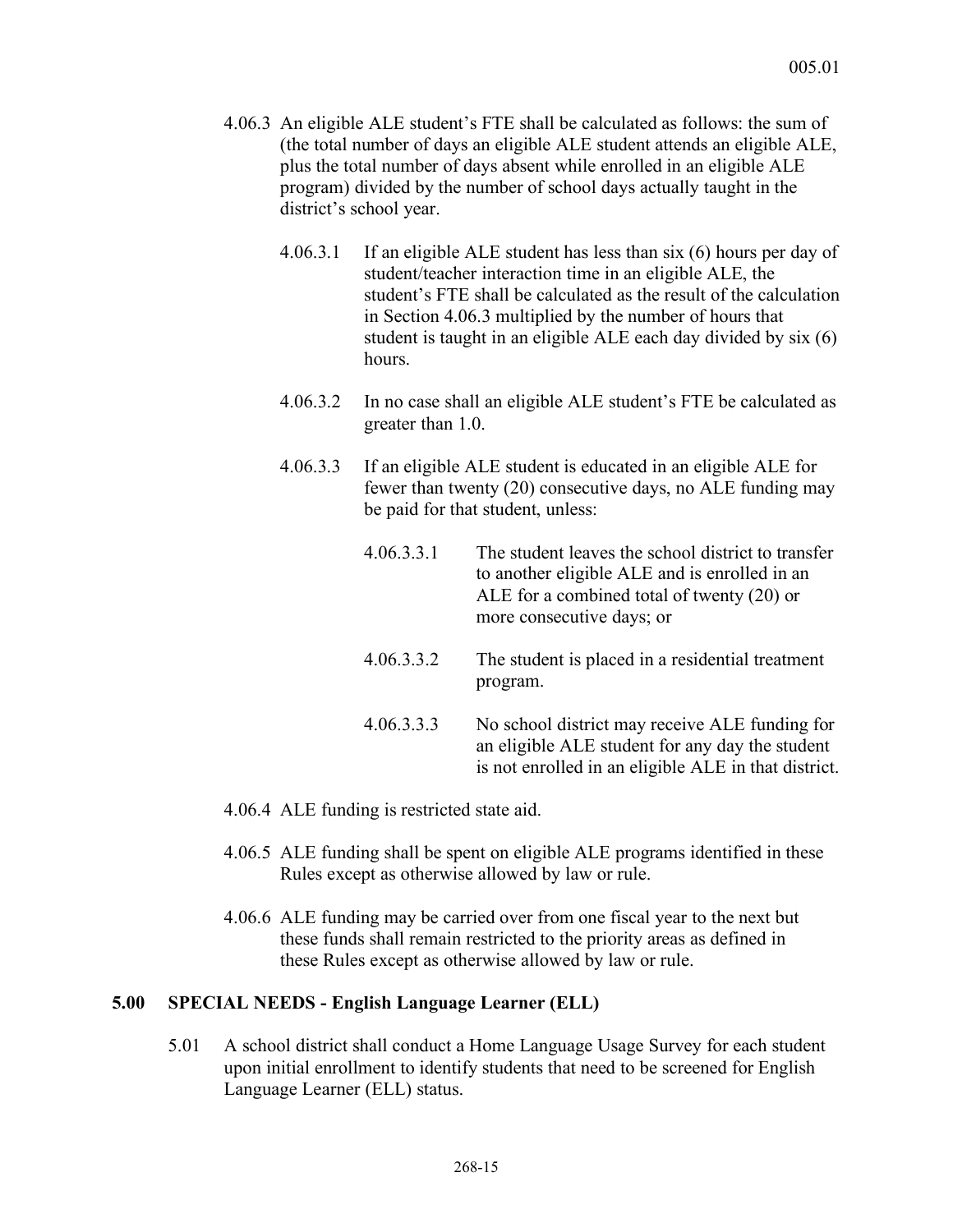- 4.06.3 An eligible ALE student's FTE shall be calculated as follows: the sum of (the total number of days an eligible ALE student attends an eligible ALE, plus the total number of days absent while enrolled in an eligible ALE program) divided by the number of school days actually taught in the district's school year.
	- 4.06.3.1 If an eligible ALE student has less than six (6) hours per day of student/teacher interaction time in an eligible ALE, the student's FTE shall be calculated as the result of the calculation in Section 4.06.3 multiplied by the number of hours that student is taught in an eligible ALE each day divided by six (6) hours.
	- 4.06.3.2 In no case shall an eligible ALE student's FTE be calculated as greater than 1.0.
	- 4.06.3.3 If an eligible ALE student is educated in an eligible ALE for fewer than twenty (20) consecutive days, no ALE funding may be paid for that student, unless:
		- 4.06.3.3.1 The student leaves the school district to transfer to another eligible ALE and is enrolled in an ALE for a combined total of twenty (20) or more consecutive days; or
		- 4.06.3.3.2 The student is placed in a residential treatment program.
		- 4.06.3.3.3 No school district may receive ALE funding for an eligible ALE student for any day the student is not enrolled in an eligible ALE in that district.
- 4.06.4 ALE funding is restricted state aid.
- 4.06.5 ALE funding shall be spent on eligible ALE programs identified in these Rules except as otherwise allowed by law or rule.
- 4.06.6 ALE funding may be carried over from one fiscal year to the next but these funds shall remain restricted to the priority areas as defined in these Rules except as otherwise allowed by law or rule.

# **5.00 SPECIAL NEEDS - English Language Learner (ELL)**

5.01 A school district shall conduct a Home Language Usage Survey for each student upon initial enrollment to identify students that need to be screened for English Language Learner (ELL) status.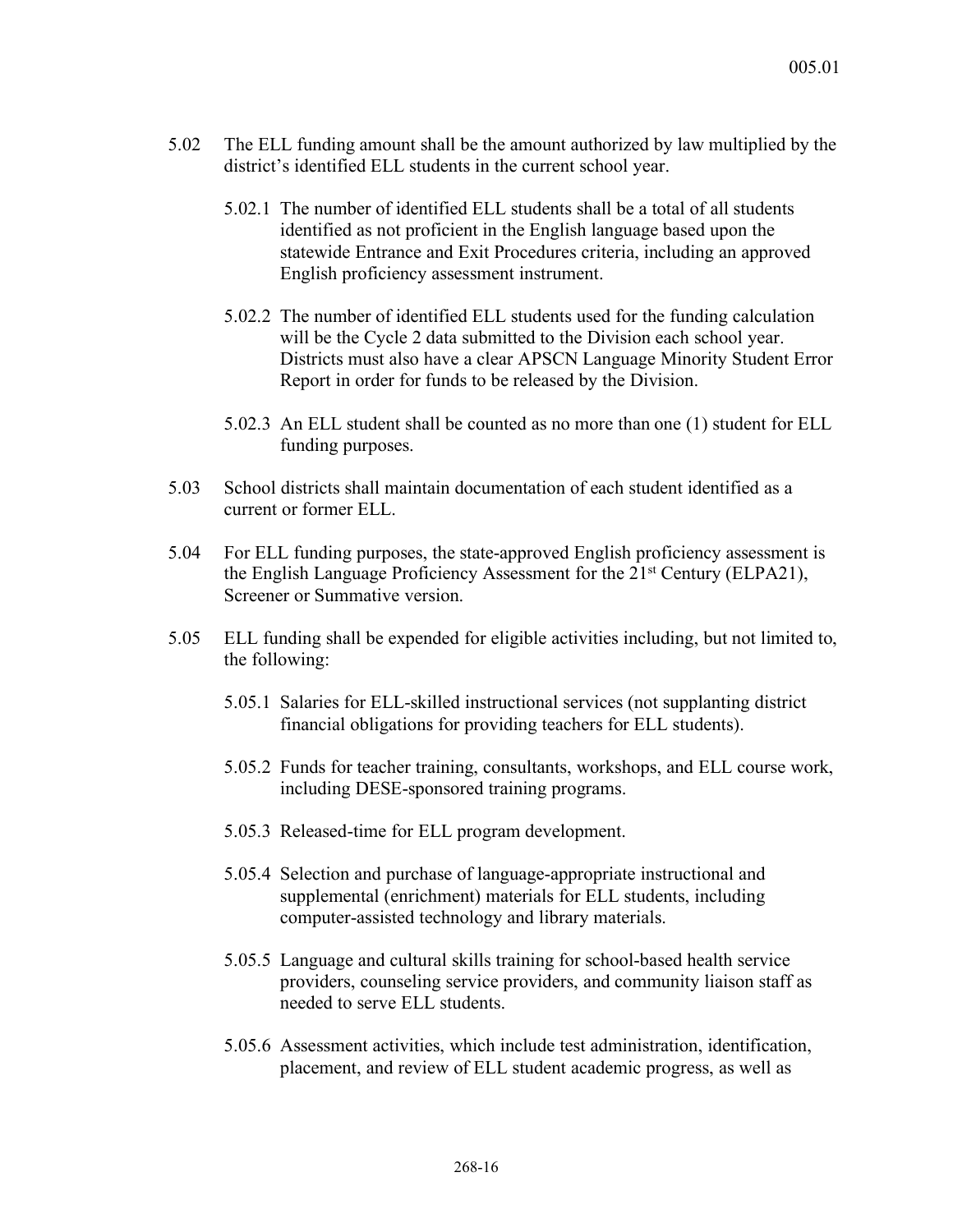- 5.02 The ELL funding amount shall be the amount authorized by law multiplied by the district's identified ELL students in the current school year.
	- 5.02.1 The number of identified ELL students shall be a total of all students identified as not proficient in the English language based upon the statewide Entrance and Exit Procedures criteria, including an approved English proficiency assessment instrument.
	- 5.02.2 The number of identified ELL students used for the funding calculation will be the Cycle 2 data submitted to the Division each school year. Districts must also have a clear APSCN Language Minority Student Error Report in order for funds to be released by the Division.
	- 5.02.3 An ELL student shall be counted as no more than one (1) student for ELL funding purposes.
- 5.03 School districts shall maintain documentation of each student identified as a current or former ELL.
- 5.04 For ELL funding purposes, the state-approved English proficiency assessment is the English Language Proficiency Assessment for the 21st Century (ELPA21), Screener or Summative version.
- 5.05 ELL funding shall be expended for eligible activities including, but not limited to, the following:
	- 5.05.1 Salaries for ELL-skilled instructional services (not supplanting district financial obligations for providing teachers for ELL students).
	- 5.05.2 Funds for teacher training, consultants, workshops, and ELL course work, including DESE-sponsored training programs.
	- 5.05.3 Released-time for ELL program development.
	- 5.05.4 Selection and purchase of language-appropriate instructional and supplemental (enrichment) materials for ELL students, including computer-assisted technology and library materials.
	- 5.05.5 Language and cultural skills training for school-based health service providers, counseling service providers, and community liaison staff as needed to serve ELL students.
	- 5.05.6 Assessment activities, which include test administration, identification, placement, and review of ELL student academic progress, as well as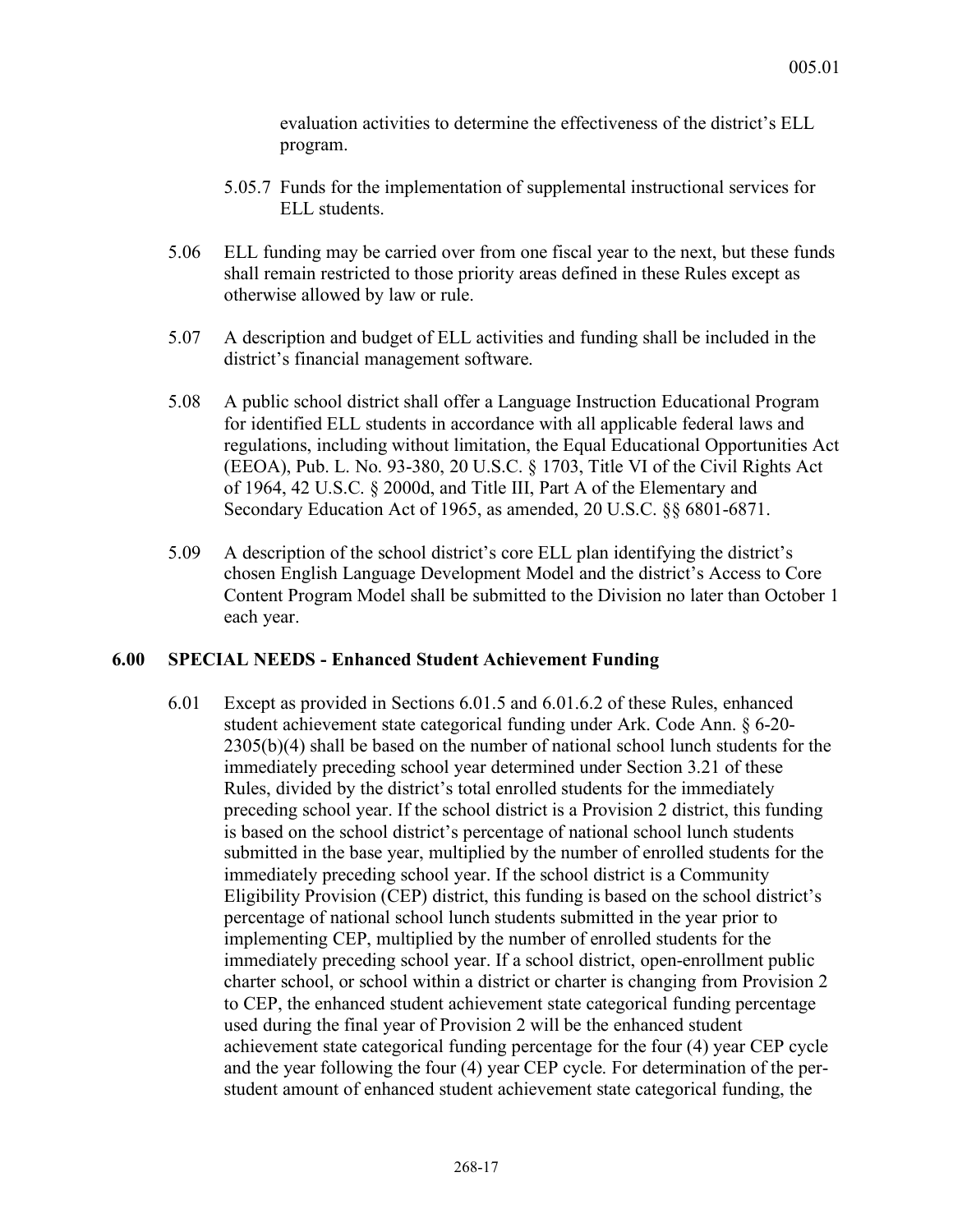evaluation activities to determine the effectiveness of the district's ELL program.

- 5.05.7 Funds for the implementation of supplemental instructional services for ELL students.
- 5.06 ELL funding may be carried over from one fiscal year to the next, but these funds shall remain restricted to those priority areas defined in these Rules except as otherwise allowed by law or rule.
- 5.07 A description and budget of ELL activities and funding shall be included in the district's financial management software.
- 5.08 A public school district shall offer a Language Instruction Educational Program for identified ELL students in accordance with all applicable federal laws and regulations, including without limitation, the Equal Educational Opportunities Act (EEOA), Pub. L. No. 93-380, 20 U.S.C. § 1703, Title VI of the Civil Rights Act of 1964, 42 U.S.C. § 2000d, and Title III, Part A of the Elementary and Secondary Education Act of 1965, as amended, 20 U.S.C. §§ 6801-6871.
- 5.09 A description of the school district's core ELL plan identifying the district's chosen English Language Development Model and the district's Access to Core Content Program Model shall be submitted to the Division no later than October 1 each year.

## **6.00 SPECIAL NEEDS - Enhanced Student Achievement Funding**

6.01 Except as provided in Sections 6.01.5 and 6.01.6.2 of these Rules, enhanced student achievement state categorical funding under Ark. Code Ann. § 6-20- 2305(b)(4) shall be based on the number of national school lunch students for the immediately preceding school year determined under Section 3.21 of these Rules, divided by the district's total enrolled students for the immediately preceding school year. If the school district is a Provision 2 district, this funding is based on the school district's percentage of national school lunch students submitted in the base year, multiplied by the number of enrolled students for the immediately preceding school year. If the school district is a Community Eligibility Provision (CEP) district, this funding is based on the school district's percentage of national school lunch students submitted in the year prior to implementing CEP, multiplied by the number of enrolled students for the immediately preceding school year. If a school district, open-enrollment public charter school, or school within a district or charter is changing from Provision 2 to CEP, the enhanced student achievement state categorical funding percentage used during the final year of Provision 2 will be the enhanced student achievement state categorical funding percentage for the four (4) year CEP cycle and the year following the four (4) year CEP cycle. For determination of the perstudent amount of enhanced student achievement state categorical funding, the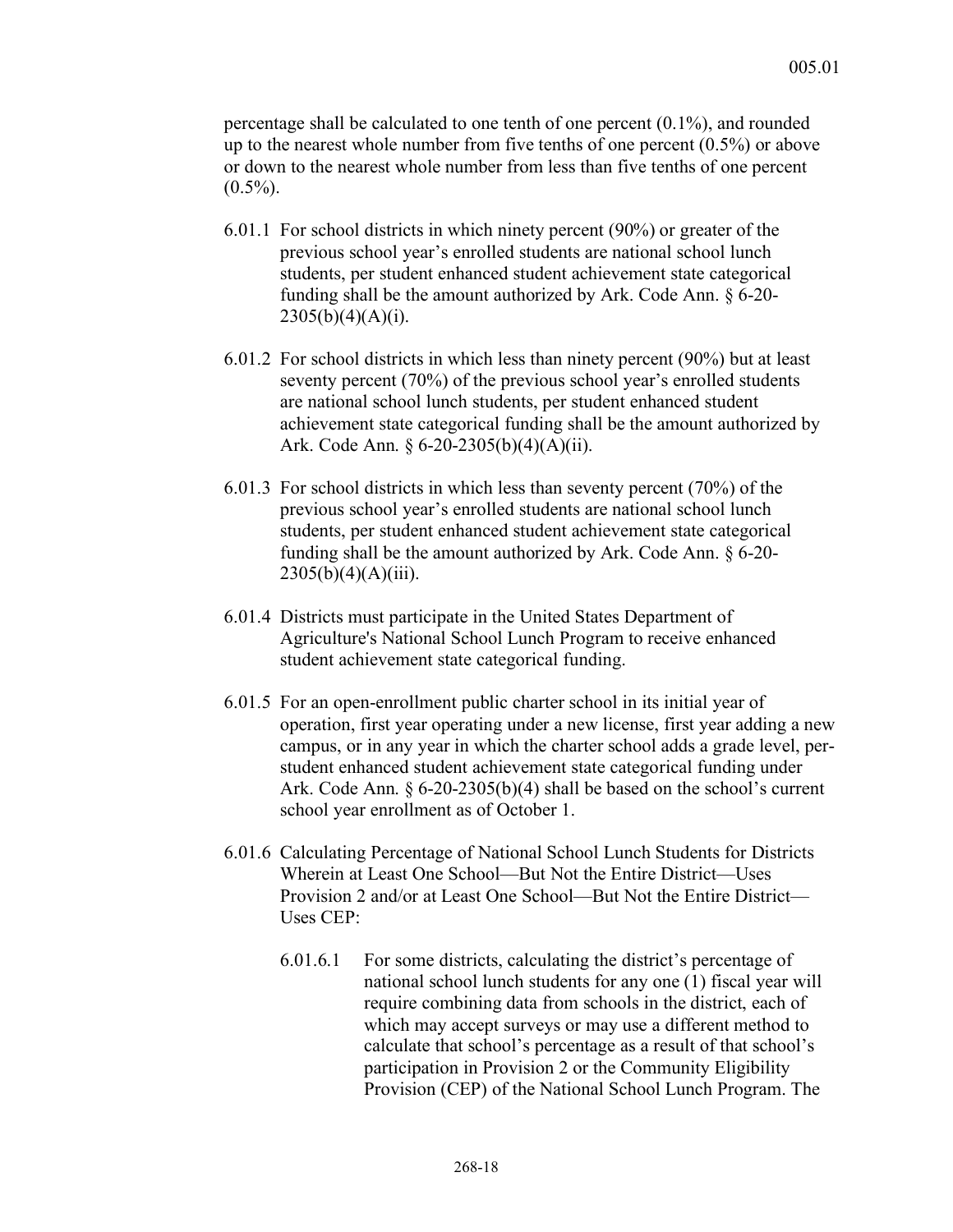percentage shall be calculated to one tenth of one percent (0.1%), and rounded up to the nearest whole number from five tenths of one percent (0.5%) or above or down to the nearest whole number from less than five tenths of one percent  $(0.5\%)$ .

- 6.01.1 For school districts in which ninety percent (90%) or greater of the previous school year's enrolled students are national school lunch students, per student enhanced student achievement state categorical funding shall be the amount authorized by Ark. Code Ann. § 6-20-  $2305(b)(4)(A)(i)$ .
- 6.01.2 For school districts in which less than ninety percent (90%) but at least seventy percent (70%) of the previous school year's enrolled students are national school lunch students, per student enhanced student achievement state categorical funding shall be the amount authorized by Ark. Code Ann. § 6-20-2305(b)(4)(A)(ii).
- 6.01.3 For school districts in which less than seventy percent (70%) of the previous school year's enrolled students are national school lunch students, per student enhanced student achievement state categorical funding shall be the amount authorized by Ark. Code Ann. § 6-20-  $2305(b)(4)(A)(iii)$ .
- 6.01.4 Districts must participate in the United States Department of Agriculture's National School Lunch Program to receive enhanced student achievement state categorical funding.
- 6.01.5 For an open-enrollment public charter school in its initial year of operation, first year operating under a new license, first year adding a new campus, or in any year in which the charter school adds a grade level, perstudent enhanced student achievement state categorical funding under Ark. Code Ann. § 6-20-2305(b)(4) shall be based on the school's current school year enrollment as of October 1.
- 6.01.6 Calculating Percentage of National School Lunch Students for Districts Wherein at Least One School—But Not the Entire District—Uses Provision 2 and/or at Least One School—But Not the Entire District— Uses CEP:
	- 6.01.6.1 For some districts, calculating the district's percentage of national school lunch students for any one (1) fiscal year will require combining data from schools in the district, each of which may accept surveys or may use a different method to calculate that school's percentage as a result of that school's participation in Provision 2 or the Community Eligibility Provision (CEP) of the National School Lunch Program. The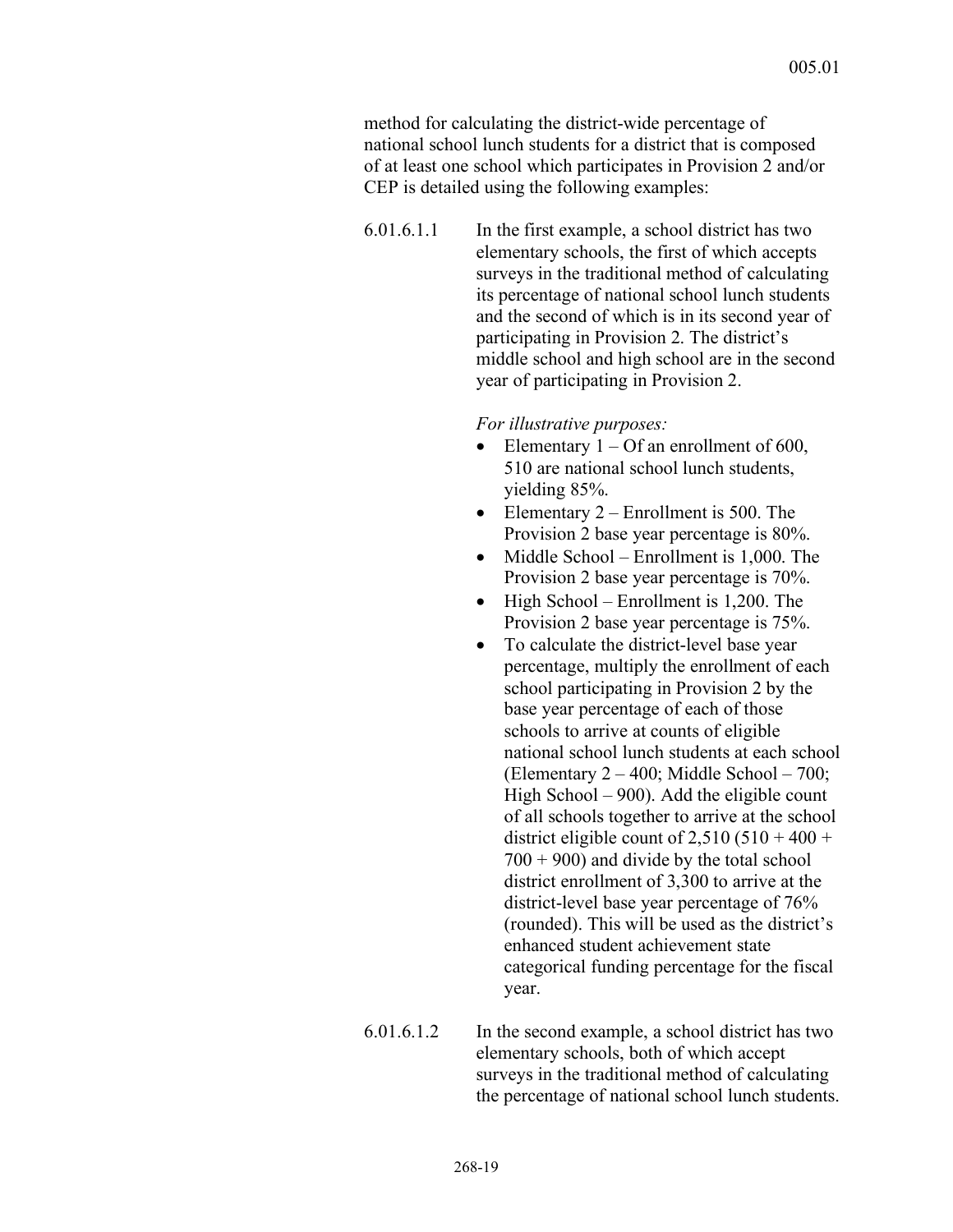method for calculating the district-wide percentage of national school lunch students for a district that is composed of at least one school which participates in Provision 2 and/or CEP is detailed using the following examples:

6.01.6.1.1 In the first example, a school district has two elementary schools, the first of which accepts surveys in the traditional method of calculating its percentage of national school lunch students and the second of which is in its second year of participating in Provision 2. The district's middle school and high school are in the second year of participating in Provision 2.

- Elementary  $1 \text{Of an enrollment of } 600$ . 510 are national school lunch students, yielding 85%.
- Elementary 2 Enrollment is 500. The Provision 2 base year percentage is 80%.
- Middle School Enrollment is 1,000. The Provision 2 base year percentage is 70%.
- High School Enrollment is 1,200. The Provision 2 base year percentage is 75%.
- To calculate the district-level base year percentage, multiply the enrollment of each school participating in Provision 2 by the base year percentage of each of those schools to arrive at counts of eligible national school lunch students at each school (Elementary  $2 - 400$ ; Middle School  $- 700$ ; High School – 900). Add the eligible count of all schools together to arrive at the school district eligible count of  $2,510$  ( $510 + 400 +$  $700 + 900$ ) and divide by the total school district enrollment of 3,300 to arrive at the district-level base year percentage of 76% (rounded). This will be used as the district's enhanced student achievement state categorical funding percentage for the fiscal year.
- 6.01.6.1.2 In the second example, a school district has two elementary schools, both of which accept surveys in the traditional method of calculating the percentage of national school lunch students.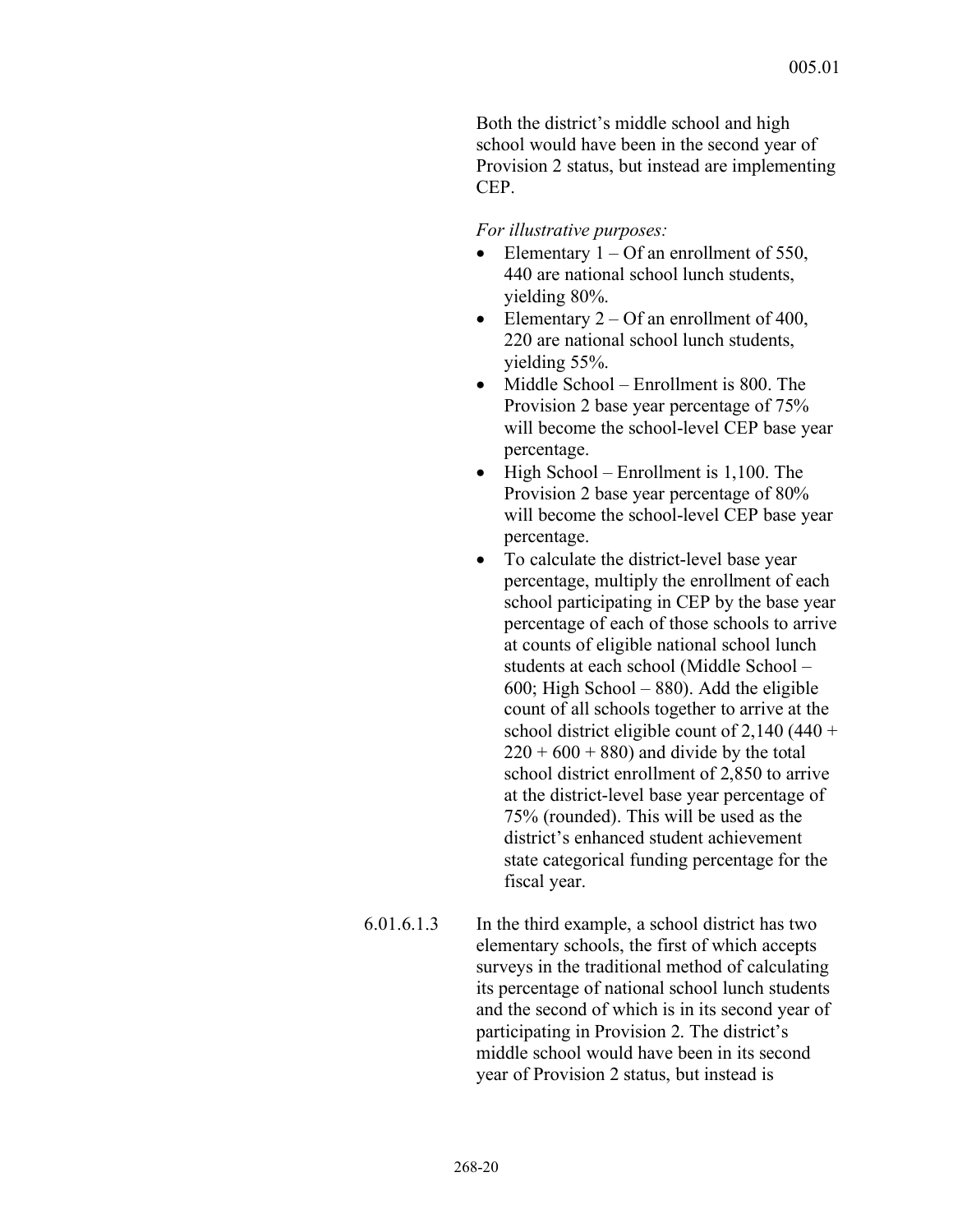Both the district's middle school and high school would have been in the second year of Provision 2 status, but instead are implementing CEP.

- Elementary  $1 \text{Of an enrollment of } 550$ , 440 are national school lunch students, yielding 80%.
- Elementary  $2 Of$  an enrollment of 400, 220 are national school lunch students, yielding 55%.
- Middle School Enrollment is 800. The Provision 2 base year percentage of 75% will become the school-level CEP base year percentage.
- High School Enrollment is 1,100. The Provision 2 base year percentage of 80% will become the school-level CEP base year percentage.
- To calculate the district-level base year percentage, multiply the enrollment of each school participating in CEP by the base year percentage of each of those schools to arrive at counts of eligible national school lunch students at each school (Middle School – 600; High School – 880). Add the eligible count of all schools together to arrive at the school district eligible count of  $2,140$  (440 +  $220 + 600 + 880$  and divide by the total school district enrollment of 2,850 to arrive at the district-level base year percentage of 75% (rounded). This will be used as the district's enhanced student achievement state categorical funding percentage for the fiscal year.
- 6.01.6.1.3 In the third example, a school district has two elementary schools, the first of which accepts surveys in the traditional method of calculating its percentage of national school lunch students and the second of which is in its second year of participating in Provision 2. The district's middle school would have been in its second year of Provision 2 status, but instead is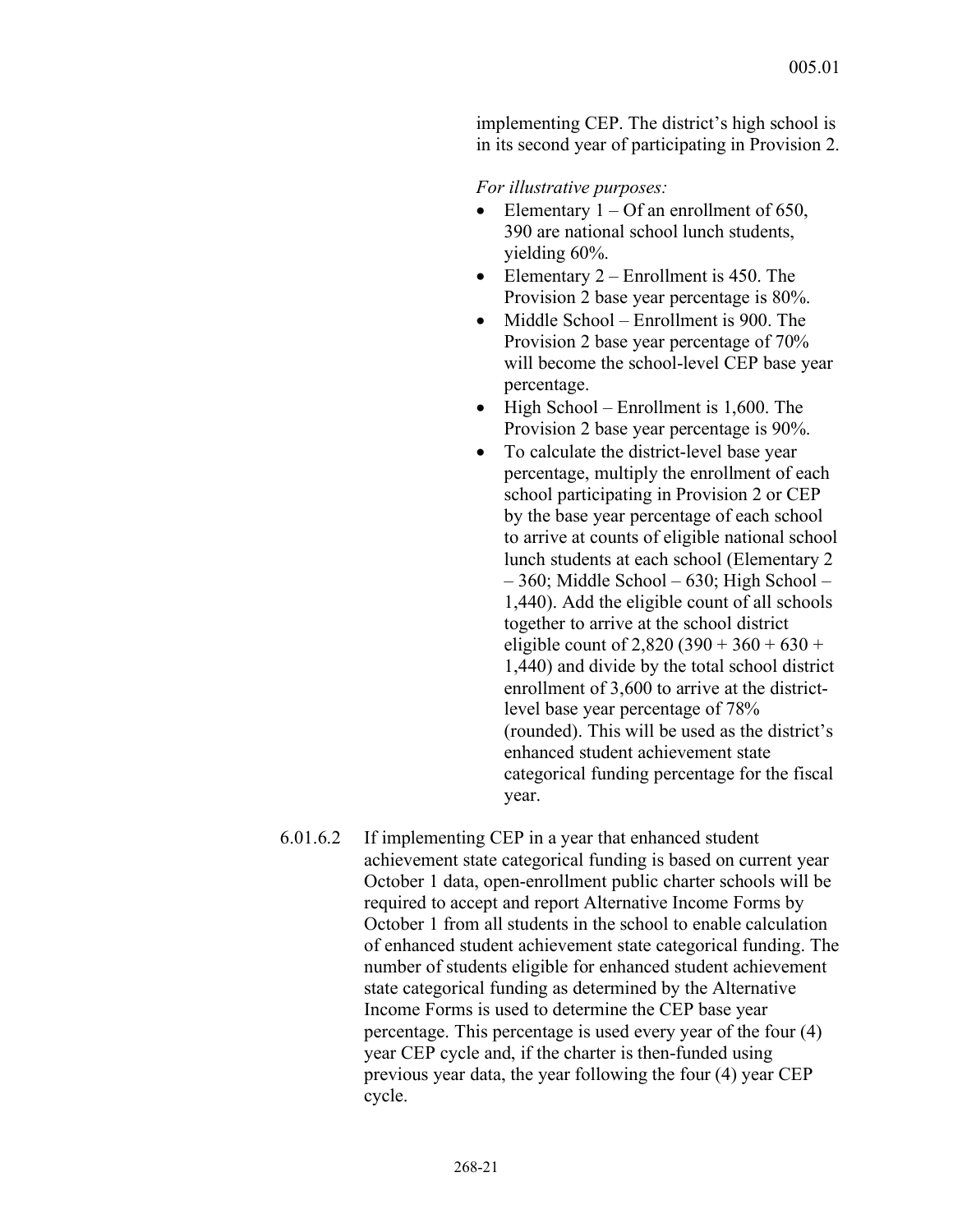implementing CEP. The district's high school is in its second year of participating in Provision 2.

- Elementary  $1 Of$  an enrollment of 650, 390 are national school lunch students, yielding 60%.
- Elementary 2 Enrollment is 450. The Provision 2 base year percentage is 80%.
- Middle School Enrollment is 900. The Provision 2 base year percentage of 70% will become the school-level CEP base year percentage.
- High School Enrollment is 1,600. The Provision 2 base year percentage is 90%.
- To calculate the district-level base year percentage, multiply the enrollment of each school participating in Provision 2 or CEP by the base year percentage of each school to arrive at counts of eligible national school lunch students at each school (Elementary 2 – 360; Middle School – 630; High School – 1,440). Add the eligible count of all schools together to arrive at the school district eligible count of 2,820 (390 + 360 + 630 + 1,440) and divide by the total school district enrollment of 3,600 to arrive at the districtlevel base year percentage of 78% (rounded). This will be used as the district's enhanced student achievement state categorical funding percentage for the fiscal year.
- 6.01.6.2 If implementing CEP in a year that enhanced student achievement state categorical funding is based on current year October 1 data, open-enrollment public charter schools will be required to accept and report Alternative Income Forms by October 1 from all students in the school to enable calculation of enhanced student achievement state categorical funding. The number of students eligible for enhanced student achievement state categorical funding as determined by the Alternative Income Forms is used to determine the CEP base year percentage. This percentage is used every year of the four (4) year CEP cycle and, if the charter is then-funded using previous year data, the year following the four (4) year CEP cycle.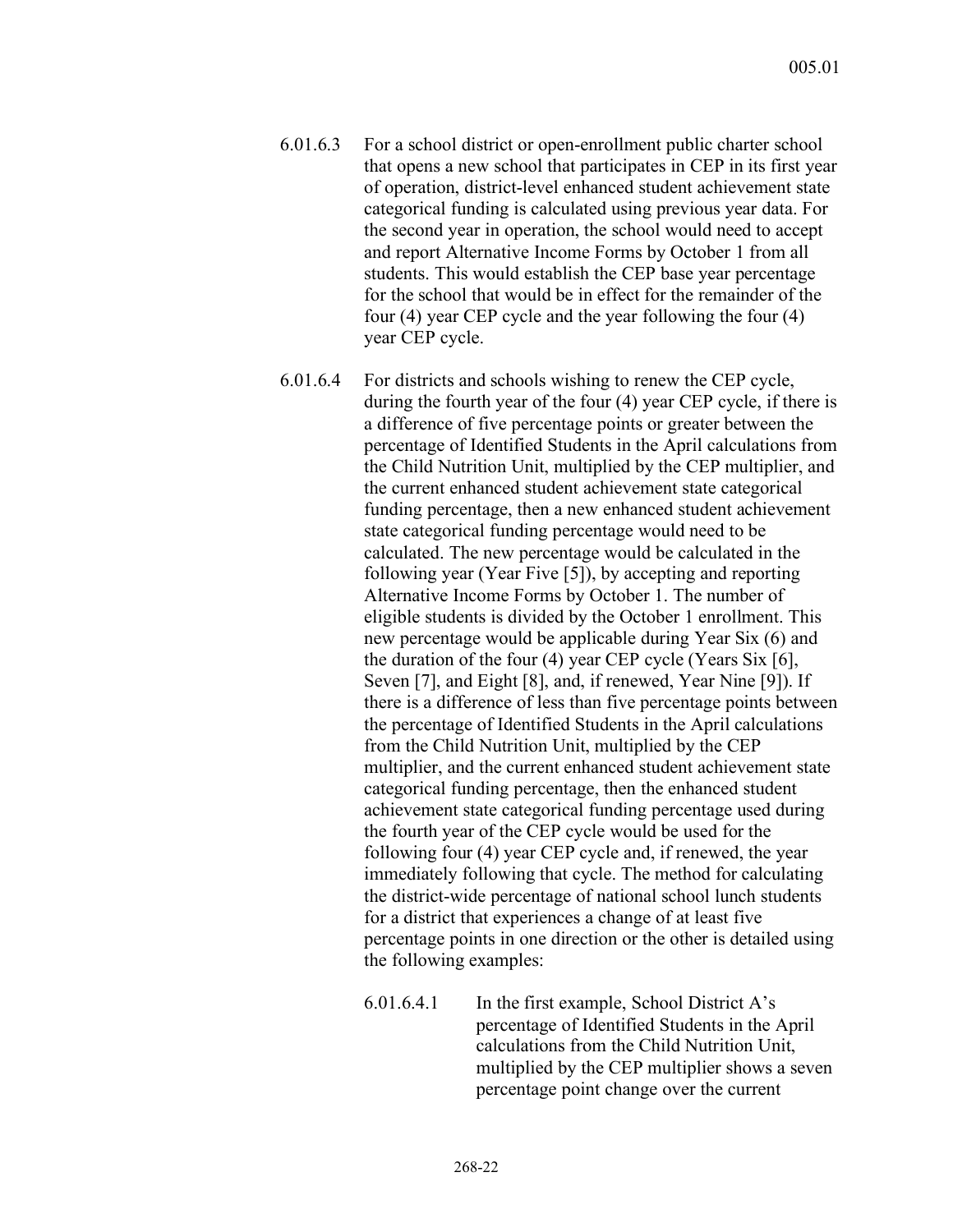- 6.01.6.3 For a school district or open-enrollment public charter school that opens a new school that participates in CEP in its first year of operation, district-level enhanced student achievement state categorical funding is calculated using previous year data. For the second year in operation, the school would need to accept and report Alternative Income Forms by October 1 from all students. This would establish the CEP base year percentage for the school that would be in effect for the remainder of the four (4) year CEP cycle and the year following the four (4) year CEP cycle.
- 6.01.6.4 For districts and schools wishing to renew the CEP cycle, during the fourth year of the four (4) year CEP cycle, if there is a difference of five percentage points or greater between the percentage of Identified Students in the April calculations from the Child Nutrition Unit, multiplied by the CEP multiplier, and the current enhanced student achievement state categorical funding percentage, then a new enhanced student achievement state categorical funding percentage would need to be calculated. The new percentage would be calculated in the following year (Year Five [5]), by accepting and reporting Alternative Income Forms by October 1. The number of eligible students is divided by the October 1 enrollment. This new percentage would be applicable during Year Six (6) and the duration of the four (4) year CEP cycle (Years Six [6], Seven [7], and Eight [8], and, if renewed, Year Nine [9]). If there is a difference of less than five percentage points between the percentage of Identified Students in the April calculations from the Child Nutrition Unit, multiplied by the CEP multiplier, and the current enhanced student achievement state categorical funding percentage, then the enhanced student achievement state categorical funding percentage used during the fourth year of the CEP cycle would be used for the following four (4) year CEP cycle and, if renewed, the year immediately following that cycle. The method for calculating the district-wide percentage of national school lunch students for a district that experiences a change of at least five percentage points in one direction or the other is detailed using the following examples:
	- 6.01.6.4.1 In the first example, School District A's percentage of Identified Students in the April calculations from the Child Nutrition Unit, multiplied by the CEP multiplier shows a seven percentage point change over the current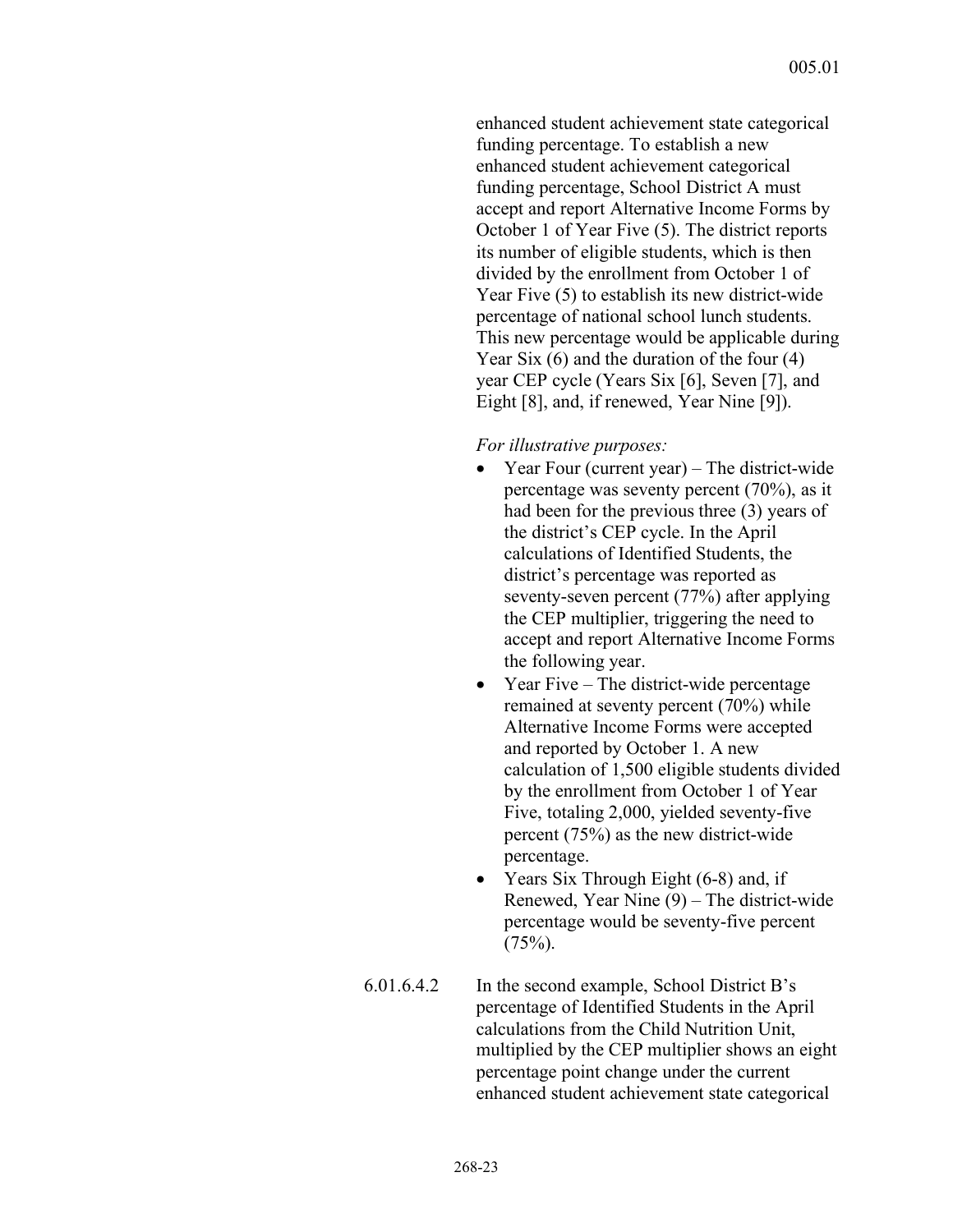enhanced student achievement state categorical funding percentage. To establish a new enhanced student achievement categorical funding percentage, School District A must accept and report Alternative Income Forms by October 1 of Year Five (5). The district reports its number of eligible students, which is then divided by the enrollment from October 1 of Year Five (5) to establish its new district-wide percentage of national school lunch students. This new percentage would be applicable during Year Six (6) and the duration of the four (4) year CEP cycle (Years Six [6], Seven [7], and Eight [8], and, if renewed, Year Nine [9]).

- Year Four (current year) The district-wide percentage was seventy percent (70%), as it had been for the previous three (3) years of the district's CEP cycle. In the April calculations of Identified Students, the district's percentage was reported as seventy-seven percent (77%) after applying the CEP multiplier, triggering the need to accept and report Alternative Income Forms the following year.
- Year Five The district-wide percentage remained at seventy percent (70%) while Alternative Income Forms were accepted and reported by October 1. A new calculation of 1,500 eligible students divided by the enrollment from October 1 of Year Five, totaling 2,000, yielded seventy-five percent (75%) as the new district-wide percentage.
- Years Six Through Eight (6-8) and, if Renewed, Year Nine (9) – The district-wide percentage would be seventy-five percent  $(75%)$ .
- 6.01.6.4.2 In the second example, School District B's percentage of Identified Students in the April calculations from the Child Nutrition Unit, multiplied by the CEP multiplier shows an eight percentage point change under the current enhanced student achievement state categorical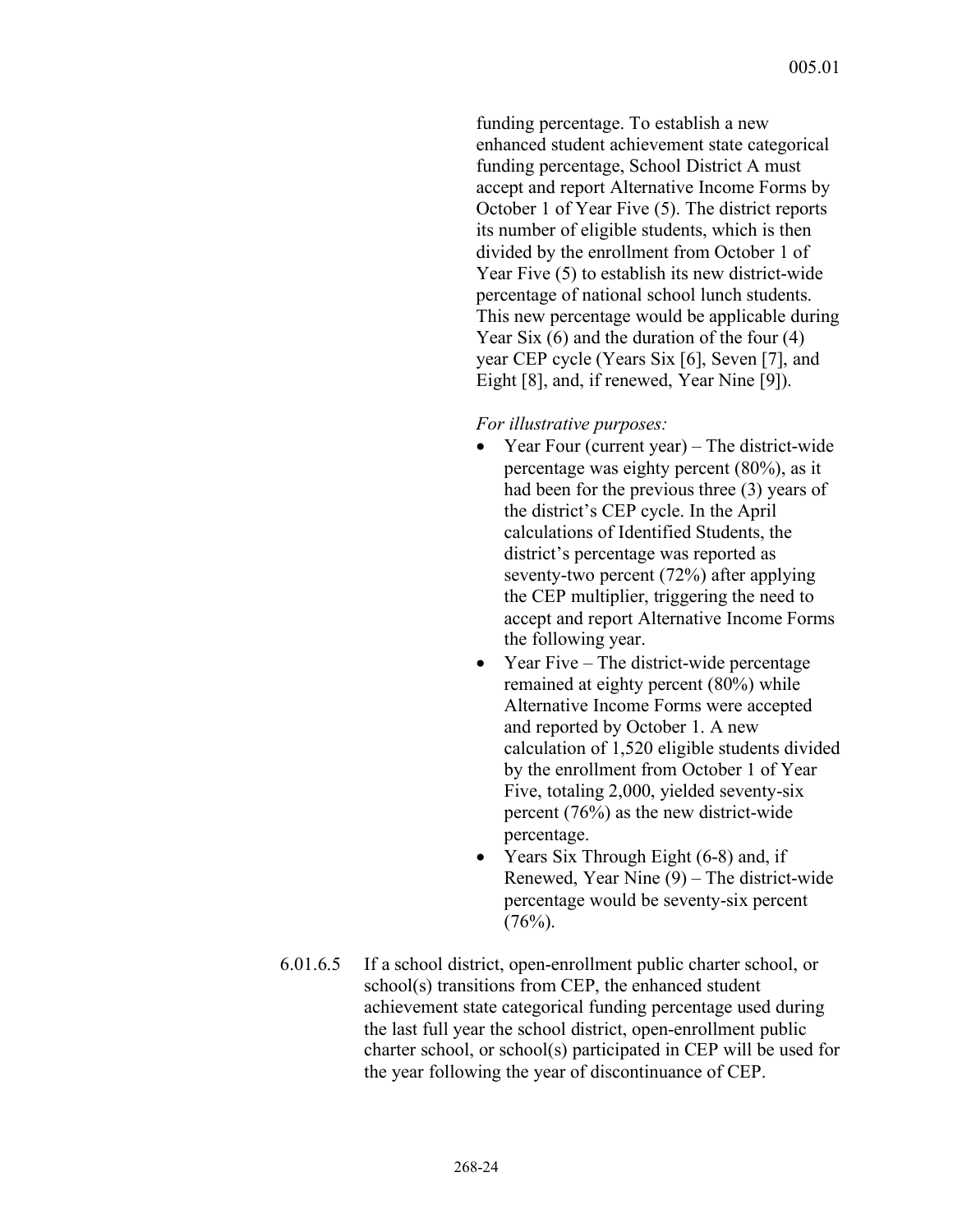funding percentage. To establish a new enhanced student achievement state categorical funding percentage, School District A must accept and report Alternative Income Forms by October 1 of Year Five (5). The district reports its number of eligible students, which is then divided by the enrollment from October 1 of Year Five (5) to establish its new district-wide percentage of national school lunch students. This new percentage would be applicable during Year Six (6) and the duration of the four (4) year CEP cycle (Years Six [6], Seven [7], and Eight [8], and, if renewed, Year Nine [9]).

- Year Four (current year) The district-wide percentage was eighty percent (80%), as it had been for the previous three (3) years of the district's CEP cycle. In the April calculations of Identified Students, the district's percentage was reported as seventy-two percent (72%) after applying the CEP multiplier, triggering the need to accept and report Alternative Income Forms the following year.
- Year Five The district-wide percentage remained at eighty percent (80%) while Alternative Income Forms were accepted and reported by October 1. A new calculation of 1,520 eligible students divided by the enrollment from October 1 of Year Five, totaling 2,000, yielded seventy-six percent (76%) as the new district-wide percentage.
- Years Six Through Eight (6-8) and, if Renewed, Year Nine (9) – The district-wide percentage would be seventy-six percent  $(76%)$ .
- 6.01.6.5 If a school district, open-enrollment public charter school, or school(s) transitions from CEP, the enhanced student achievement state categorical funding percentage used during the last full year the school district, open-enrollment public charter school, or school(s) participated in CEP will be used for the year following the year of discontinuance of CEP.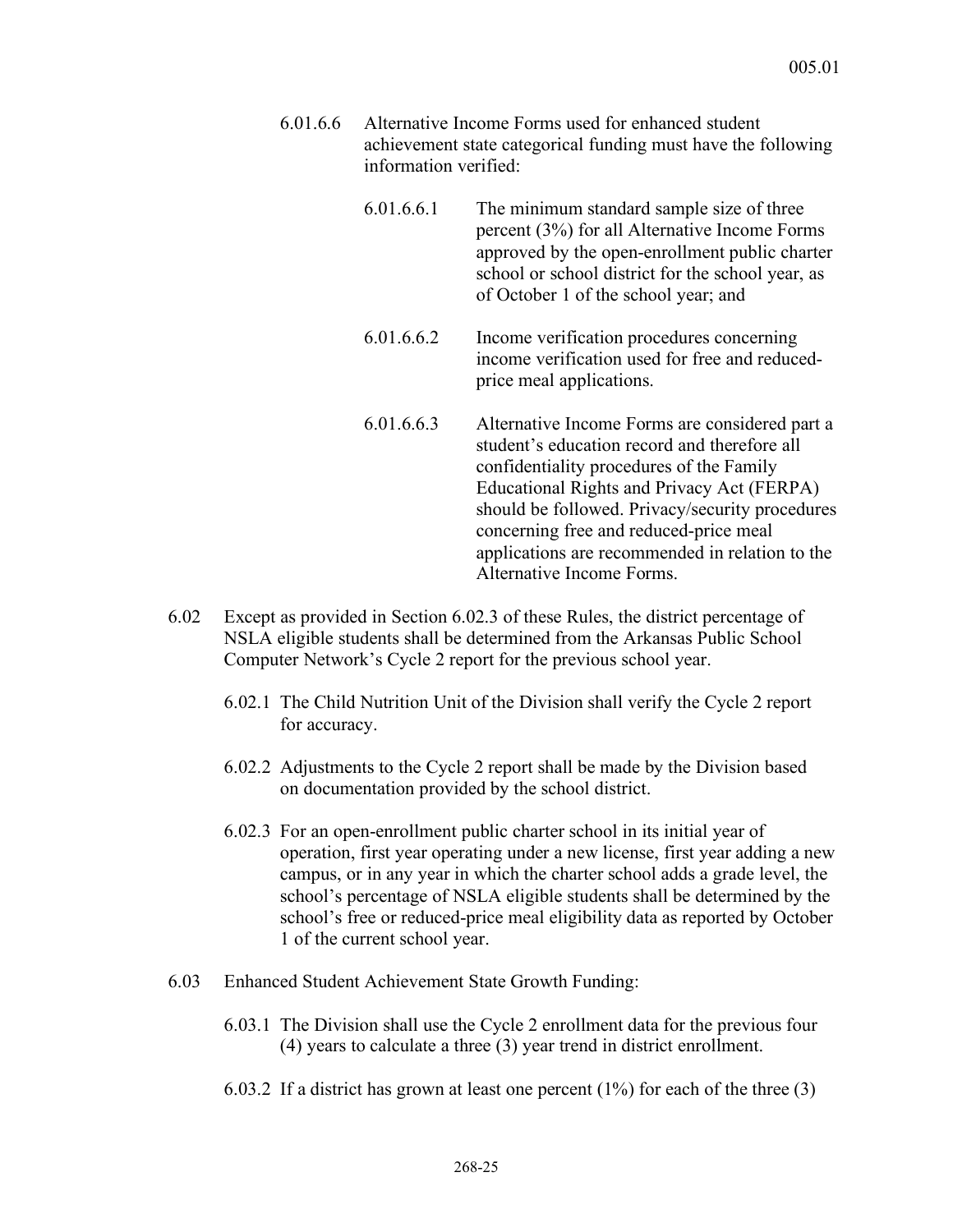- 6.01.6.6 Alternative Income Forms used for enhanced student achievement state categorical funding must have the following information verified:
	- 6.01.6.6.1 The minimum standard sample size of three percent (3%) for all Alternative Income Forms approved by the open-enrollment public charter school or school district for the school year, as of October 1 of the school year; and
	- 6.01.6.6.2 Income verification procedures concerning income verification used for free and reducedprice meal applications.
	- 6.01.6.6.3 Alternative Income Forms are considered part a student's education record and therefore all confidentiality procedures of the Family Educational Rights and Privacy Act (FERPA) should be followed. Privacy/security procedures concerning free and reduced-price meal applications are recommended in relation to the Alternative Income Forms.
- 6.02 Except as provided in Section 6.02.3 of these Rules, the district percentage of NSLA eligible students shall be determined from the Arkansas Public School Computer Network's Cycle 2 report for the previous school year.
	- 6.02.1 The Child Nutrition Unit of the Division shall verify the Cycle 2 report for accuracy.
	- 6.02.2 Adjustments to the Cycle 2 report shall be made by the Division based on documentation provided by the school district.
	- 6.02.3 For an open-enrollment public charter school in its initial year of operation, first year operating under a new license, first year adding a new campus, or in any year in which the charter school adds a grade level, the school's percentage of NSLA eligible students shall be determined by the school's free or reduced-price meal eligibility data as reported by October 1 of the current school year.
- 6.03 Enhanced Student Achievement State Growth Funding:
	- 6.03.1 The Division shall use the Cycle 2 enrollment data for the previous four (4) years to calculate a three (3) year trend in district enrollment.
	- 6.03.2 If a district has grown at least one percent  $(1\%)$  for each of the three  $(3)$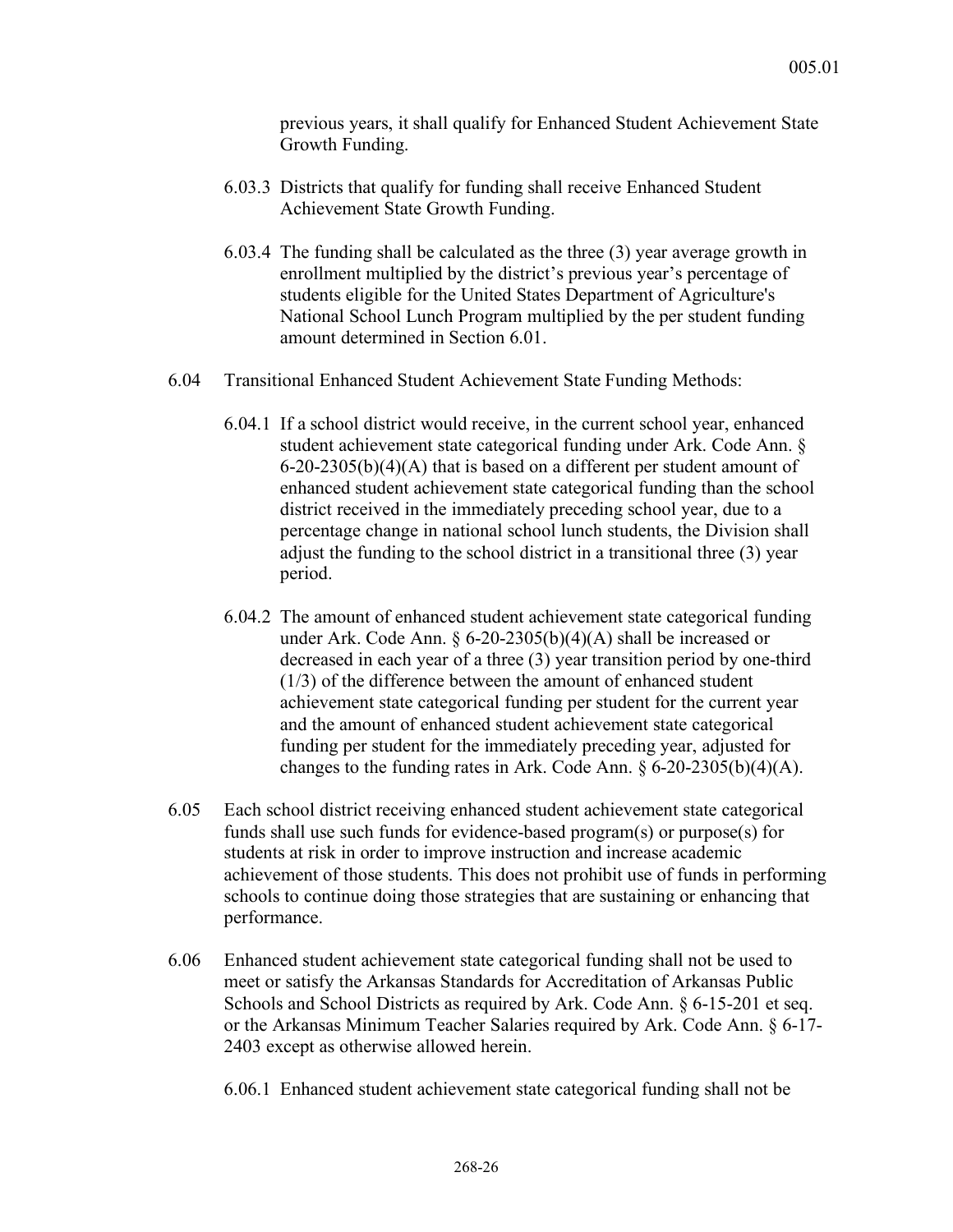previous years, it shall qualify for Enhanced Student Achievement State Growth Funding.

- 6.03.3 Districts that qualify for funding shall receive Enhanced Student Achievement State Growth Funding.
- 6.03.4 The funding shall be calculated as the three (3) year average growth in enrollment multiplied by the district's previous year's percentage of students eligible for the United States Department of Agriculture's National School Lunch Program multiplied by the per student funding amount determined in Section 6.01.
- 6.04 Transitional Enhanced Student Achievement State Funding Methods:
	- 6.04.1 If a school district would receive, in the current school year, enhanced student achievement state categorical funding under Ark. Code Ann. §  $6-20-2305(b)(4)(A)$  that is based on a different per student amount of enhanced student achievement state categorical funding than the school district received in the immediately preceding school year, due to a percentage change in national school lunch students, the Division shall adjust the funding to the school district in a transitional three (3) year period.
	- 6.04.2 The amount of enhanced student achievement state categorical funding under Ark. Code Ann.  $\S 6$ -20-2305(b)(4)(A) shall be increased or decreased in each year of a three (3) year transition period by one-third (1/3) of the difference between the amount of enhanced student achievement state categorical funding per student for the current year and the amount of enhanced student achievement state categorical funding per student for the immediately preceding year, adjusted for changes to the funding rates in Ark. Code Ann.  $\S 6-20-2305(b)(4)(A)$ .
- 6.05 Each school district receiving enhanced student achievement state categorical funds shall use such funds for evidence-based program(s) or purpose(s) for students at risk in order to improve instruction and increase academic achievement of those students. This does not prohibit use of funds in performing schools to continue doing those strategies that are sustaining or enhancing that performance.
- 6.06 Enhanced student achievement state categorical funding shall not be used to meet or satisfy the Arkansas Standards for Accreditation of Arkansas Public Schools and School Districts as required by Ark. Code Ann. § 6-15-201 et seq. or the Arkansas Minimum Teacher Salaries required by Ark. Code Ann. § 6-17- 2403 except as otherwise allowed herein.
	- 6.06.1 Enhanced student achievement state categorical funding shall not be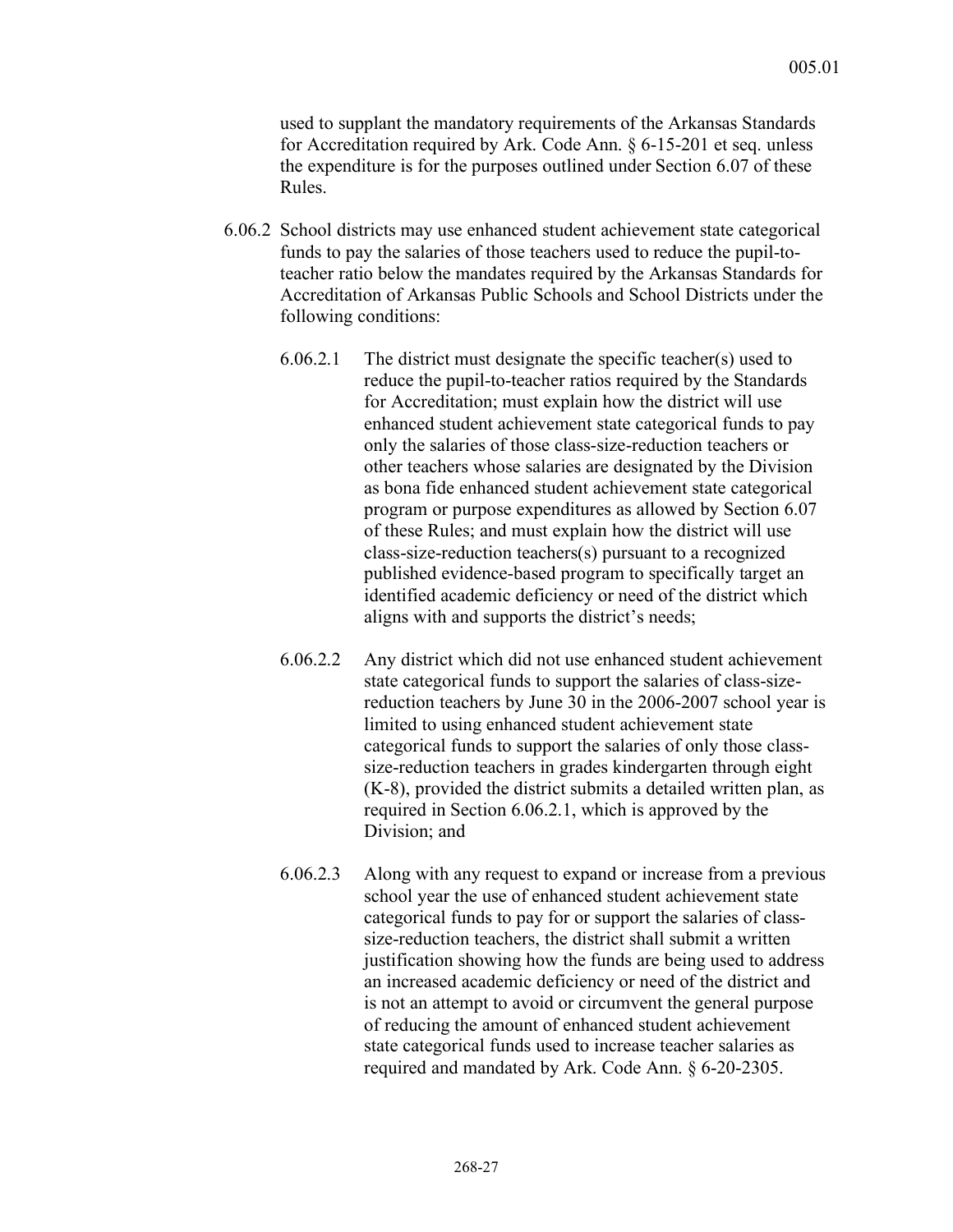used to supplant the mandatory requirements of the Arkansas Standards for Accreditation required by Ark. Code Ann. § 6-15-201 et seq. unless the expenditure is for the purposes outlined under Section 6.07 of these Rules.

- 6.06.2 School districts may use enhanced student achievement state categorical funds to pay the salaries of those teachers used to reduce the pupil-toteacher ratio below the mandates required by the Arkansas Standards for Accreditation of Arkansas Public Schools and School Districts under the following conditions:
	- 6.06.2.1 The district must designate the specific teacher(s) used to reduce the pupil-to-teacher ratios required by the Standards for Accreditation; must explain how the district will use enhanced student achievement state categorical funds to pay only the salaries of those class-size-reduction teachers or other teachers whose salaries are designated by the Division as bona fide enhanced student achievement state categorical program or purpose expenditures as allowed by Section 6.07 of these Rules; and must explain how the district will use class-size-reduction teachers(s) pursuant to a recognized published evidence-based program to specifically target an identified academic deficiency or need of the district which aligns with and supports the district's needs;
	- 6.06.2.2 Any district which did not use enhanced student achievement state categorical funds to support the salaries of class-sizereduction teachers by June 30 in the 2006-2007 school year is limited to using enhanced student achievement state categorical funds to support the salaries of only those classsize-reduction teachers in grades kindergarten through eight (K-8), provided the district submits a detailed written plan, as required in Section 6.06.2.1, which is approved by the Division; and
	- 6.06.2.3 Along with any request to expand or increase from a previous school year the use of enhanced student achievement state categorical funds to pay for or support the salaries of classsize-reduction teachers, the district shall submit a written justification showing how the funds are being used to address an increased academic deficiency or need of the district and is not an attempt to avoid or circumvent the general purpose of reducing the amount of enhanced student achievement state categorical funds used to increase teacher salaries as required and mandated by Ark. Code Ann. § 6-20-2305.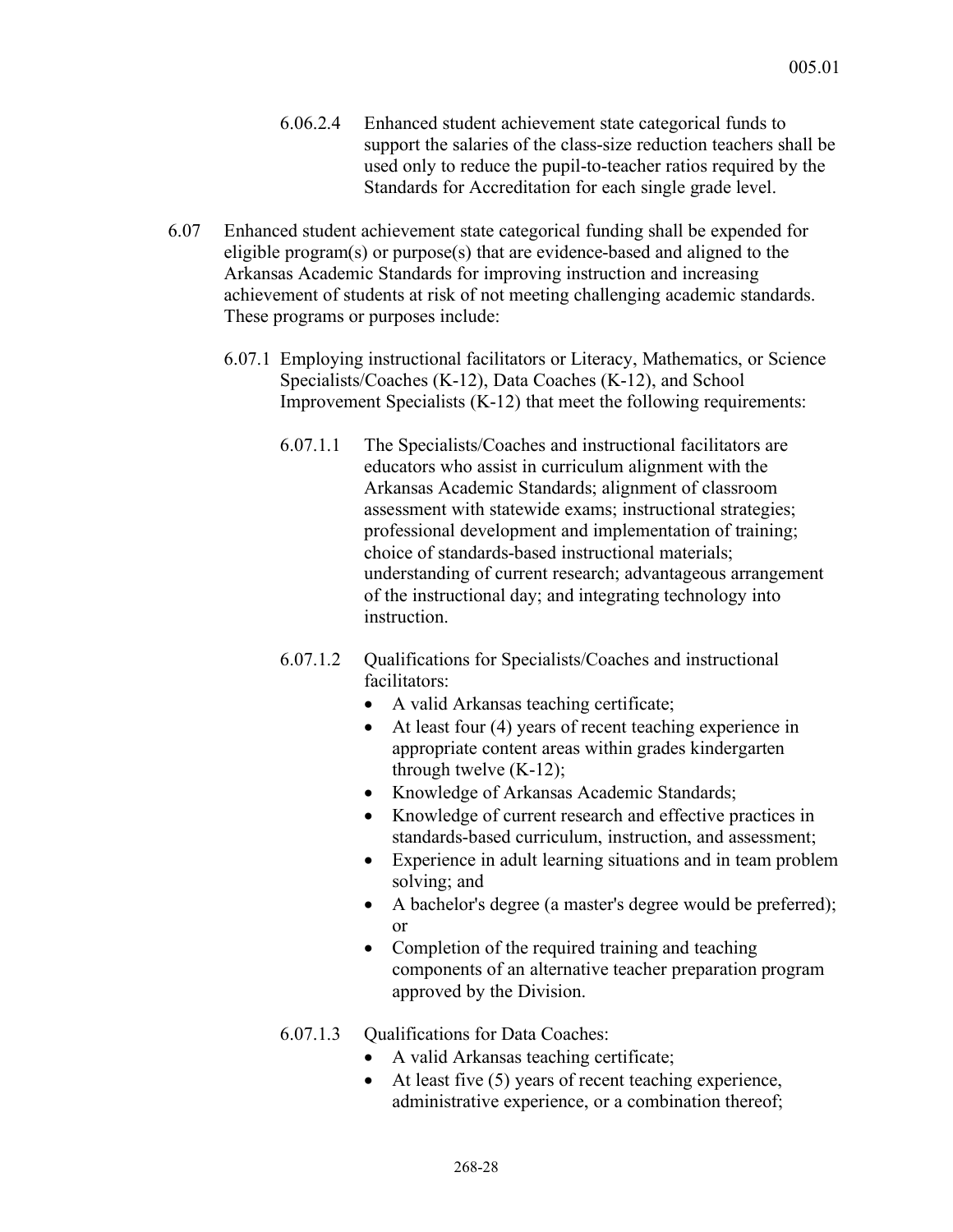- 6.06.2.4 Enhanced student achievement state categorical funds to support the salaries of the class-size reduction teachers shall be used only to reduce the pupil-to-teacher ratios required by the Standards for Accreditation for each single grade level.
- 6.07 Enhanced student achievement state categorical funding shall be expended for eligible program(s) or purpose(s) that are evidence-based and aligned to the Arkansas Academic Standards for improving instruction and increasing achievement of students at risk of not meeting challenging academic standards. These programs or purposes include:
	- 6.07.1 Employing instructional facilitators or Literacy, Mathematics, or Science Specialists/Coaches (K-12), Data Coaches (K-12), and School Improvement Specialists (K-12) that meet the following requirements:
		- 6.07.1.1 The Specialists/Coaches and instructional facilitators are educators who assist in curriculum alignment with the Arkansas Academic Standards; alignment of classroom assessment with statewide exams; instructional strategies; professional development and implementation of training; choice of standards-based instructional materials; understanding of current research; advantageous arrangement of the instructional day; and integrating technology into instruction.
		- 6.07.1.2 Qualifications for Specialists/Coaches and instructional facilitators:
			- A valid Arkansas teaching certificate;
			- At least four (4) years of recent teaching experience in appropriate content areas within grades kindergarten through twelve (K-12);
			- Knowledge of Arkansas Academic Standards;
			- Knowledge of current research and effective practices in standards-based curriculum, instruction, and assessment;
			- Experience in adult learning situations and in team problem solving; and
			- A bachelor's degree (a master's degree would be preferred); or
			- Completion of the required training and teaching components of an alternative teacher preparation program approved by the Division.
		- 6.07.1.3 Qualifications for Data Coaches:
			- A valid Arkansas teaching certificate;
			- At least five (5) years of recent teaching experience, administrative experience, or a combination thereof;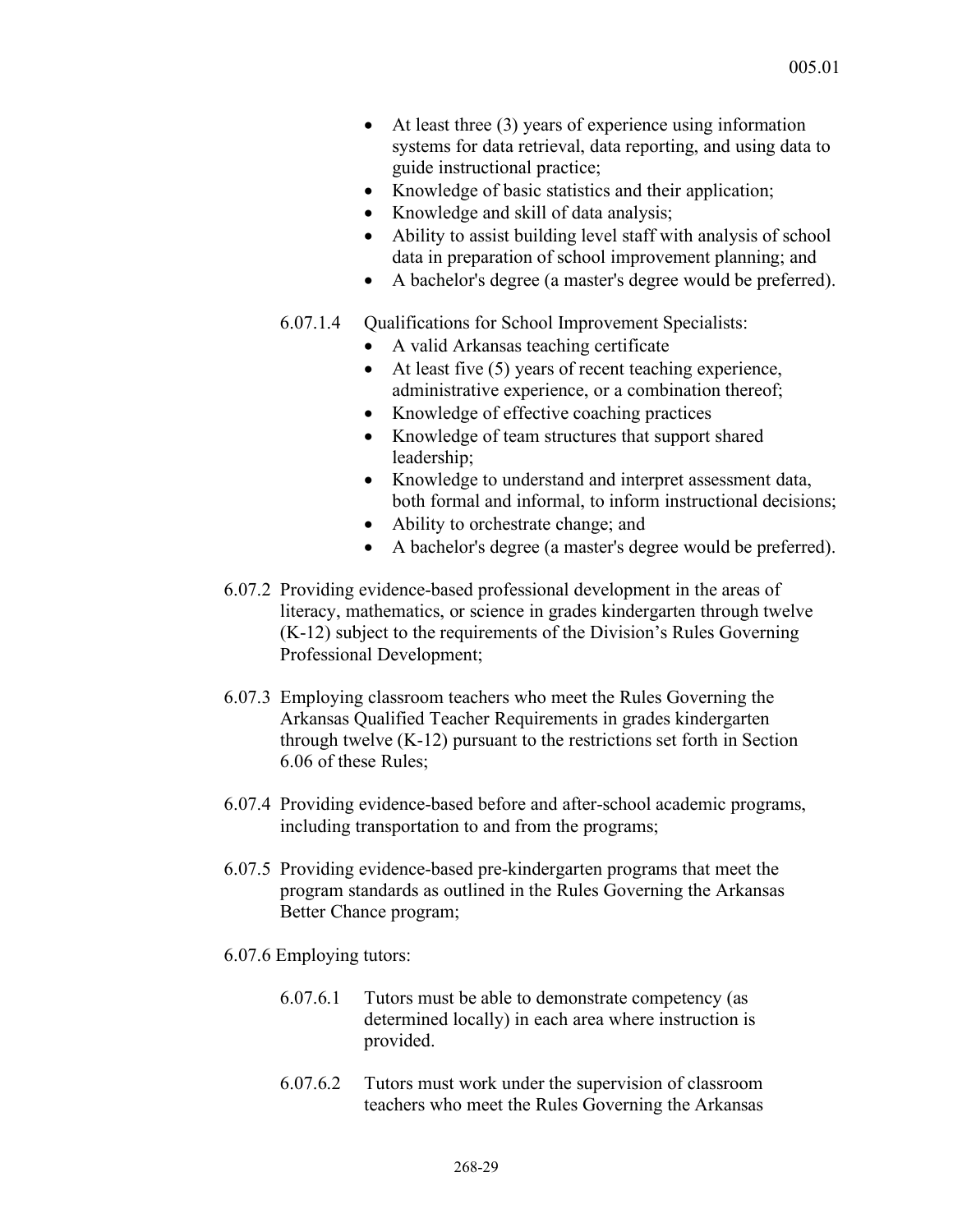- At least three (3) years of experience using information systems for data retrieval, data reporting, and using data to guide instructional practice;
- Knowledge of basic statistics and their application;
- Knowledge and skill of data analysis;
- Ability to assist building level staff with analysis of school data in preparation of school improvement planning; and
- A bachelor's degree (a master's degree would be preferred).
- 6.07.1.4 Qualifications for School Improvement Specialists:
	- A valid Arkansas teaching certificate
	- At least five (5) years of recent teaching experience, administrative experience, or a combination thereof;
	- Knowledge of effective coaching practices
	- Knowledge of team structures that support shared leadership;
	- Knowledge to understand and interpret assessment data, both formal and informal, to inform instructional decisions;
	- Ability to orchestrate change; and
	- A bachelor's degree (a master's degree would be preferred).
- 6.07.2 Providing evidence-based professional development in the areas of literacy, mathematics, or science in grades kindergarten through twelve (K-12) subject to the requirements of the Division's Rules Governing Professional Development;
- 6.07.3 Employing classroom teachers who meet the Rules Governing the Arkansas Qualified Teacher Requirements in grades kindergarten through twelve (K-12) pursuant to the restrictions set forth in Section 6.06 of these Rules;
- 6.07.4 Providing evidence-based before and after-school academic programs, including transportation to and from the programs;
- 6.07.5 Providing evidence-based pre-kindergarten programs that meet the program standards as outlined in the Rules Governing the Arkansas Better Chance program;
- 6.07.6 Employing tutors:
	- 6.07.6.1 Tutors must be able to demonstrate competency (as determined locally) in each area where instruction is provided.
	- 6.07.6.2 Tutors must work under the supervision of classroom teachers who meet the Rules Governing the Arkansas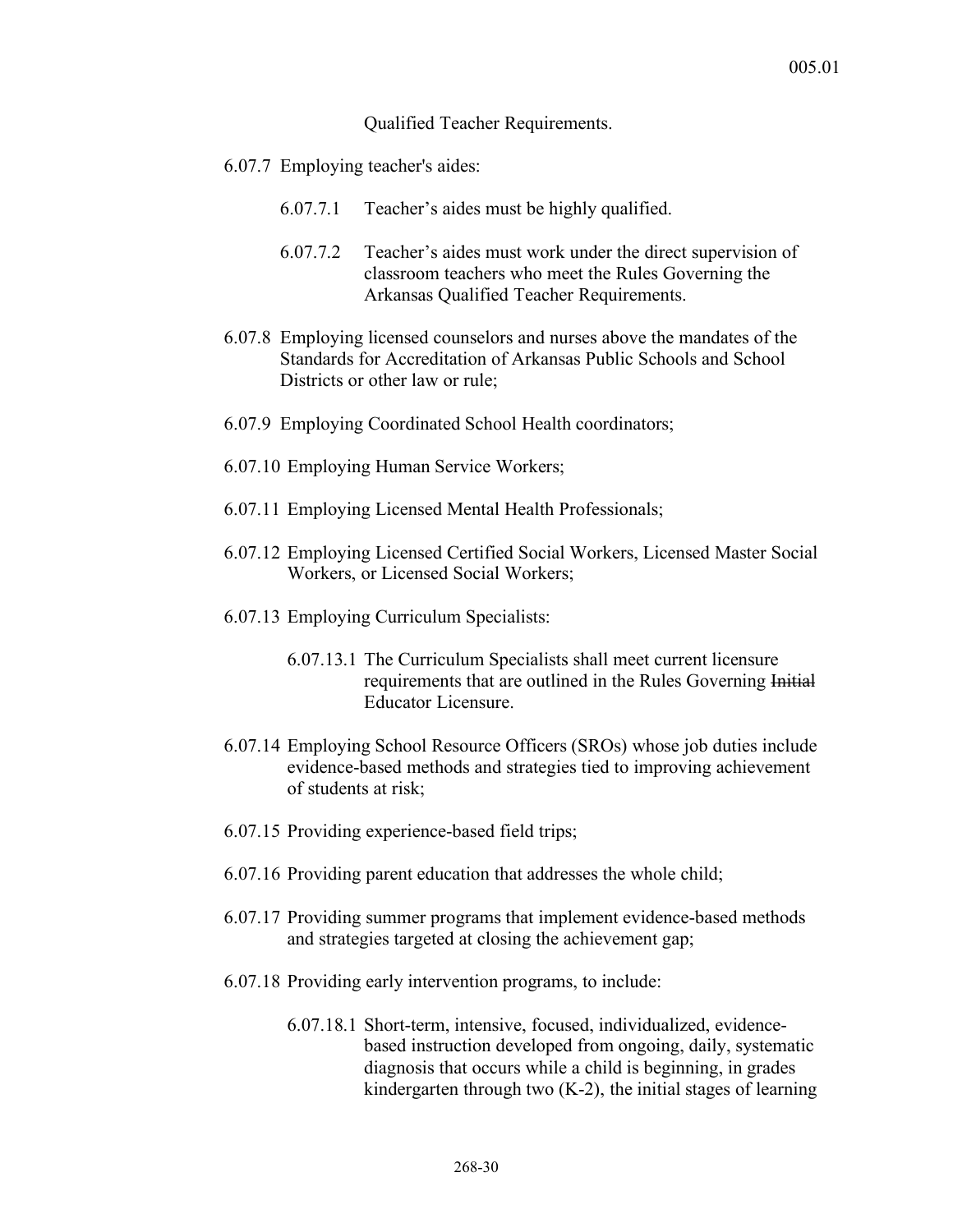#### Qualified Teacher Requirements.

- 6.07.7 Employing teacher's aides:
	- 6.07.7.1 Teacher's aides must be highly qualified.
	- 6.07.7.2 Teacher's aides must work under the direct supervision of classroom teachers who meet the Rules Governing the Arkansas Qualified Teacher Requirements.
- 6.07.8 Employing licensed counselors and nurses above the mandates of the Standards for Accreditation of Arkansas Public Schools and School Districts or other law or rule;
- 6.07.9 Employing Coordinated School Health coordinators;
- 6.07.10 Employing Human Service Workers;
- 6.07.11 Employing Licensed Mental Health Professionals;
- 6.07.12 Employing Licensed Certified Social Workers, Licensed Master Social Workers, or Licensed Social Workers;
- 6.07.13 Employing Curriculum Specialists:
	- 6.07.13.1 The Curriculum Specialists shall meet current licensure requirements that are outlined in the Rules Governing Initial Educator Licensure.
- 6.07.14 Employing School Resource Officers (SROs) whose job duties include evidence-based methods and strategies tied to improving achievement of students at risk;
- 6.07.15 Providing experience-based field trips;
- 6.07.16 Providing parent education that addresses the whole child;
- 6.07.17 Providing summer programs that implement evidence-based methods and strategies targeted at closing the achievement gap;
- 6.07.18 Providing early intervention programs, to include:
	- 6.07.18.1 Short-term, intensive, focused, individualized, evidencebased instruction developed from ongoing, daily, systematic diagnosis that occurs while a child is beginning, in grades kindergarten through two (K-2), the initial stages of learning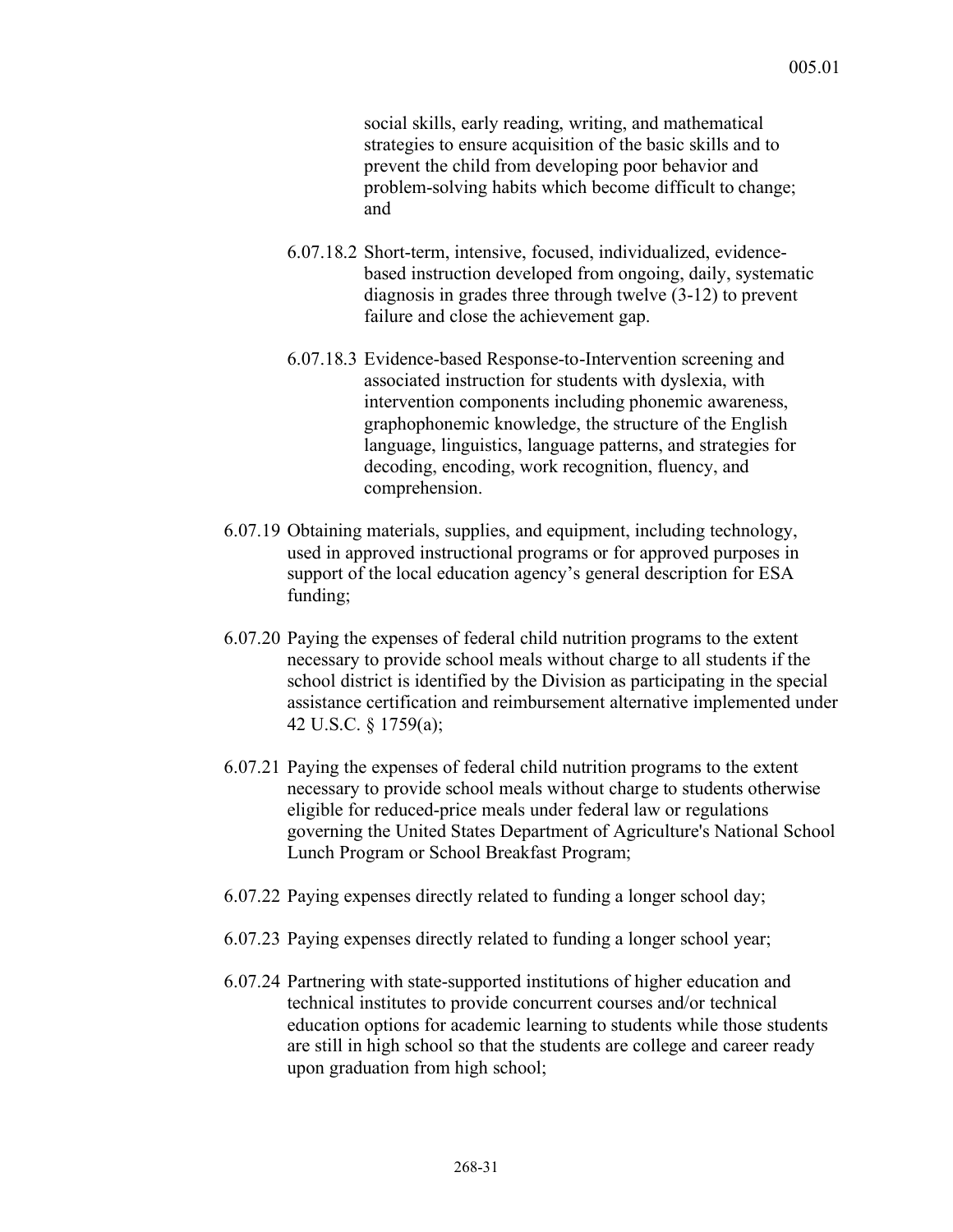social skills, early reading, writing, and mathematical strategies to ensure acquisition of the basic skills and to prevent the child from developing poor behavior and problem-solving habits which become difficult to change; and

- 6.07.18.2 Short-term, intensive, focused, individualized, evidencebased instruction developed from ongoing, daily, systematic diagnosis in grades three through twelve (3-12) to prevent failure and close the achievement gap.
- 6.07.18.3 Evidence-based Response-to-Intervention screening and associated instruction for students with dyslexia, with intervention components including phonemic awareness, graphophonemic knowledge, the structure of the English language, linguistics, language patterns, and strategies for decoding, encoding, work recognition, fluency, and comprehension.
- 6.07.19 Obtaining materials, supplies, and equipment, including technology, used in approved instructional programs or for approved purposes in support of the local education agency's general description for ESA funding;
- 6.07.20 Paying the expenses of federal child nutrition programs to the extent necessary to provide school meals without charge to all students if the school district is identified by the Division as participating in the special assistance certification and reimbursement alternative implemented under 42 U.S.C. § 1759(a);
- 6.07.21 Paying the expenses of federal child nutrition programs to the extent necessary to provide school meals without charge to students otherwise eligible for reduced-price meals under federal law or regulations governing the United States Department of Agriculture's National School Lunch Program or School Breakfast Program;
- 6.07.22 Paying expenses directly related to funding a longer school day;
- 6.07.23 Paying expenses directly related to funding a longer school year;
- 6.07.24 Partnering with state-supported institutions of higher education and technical institutes to provide concurrent courses and/or technical education options for academic learning to students while those students are still in high school so that the students are college and career ready upon graduation from high school;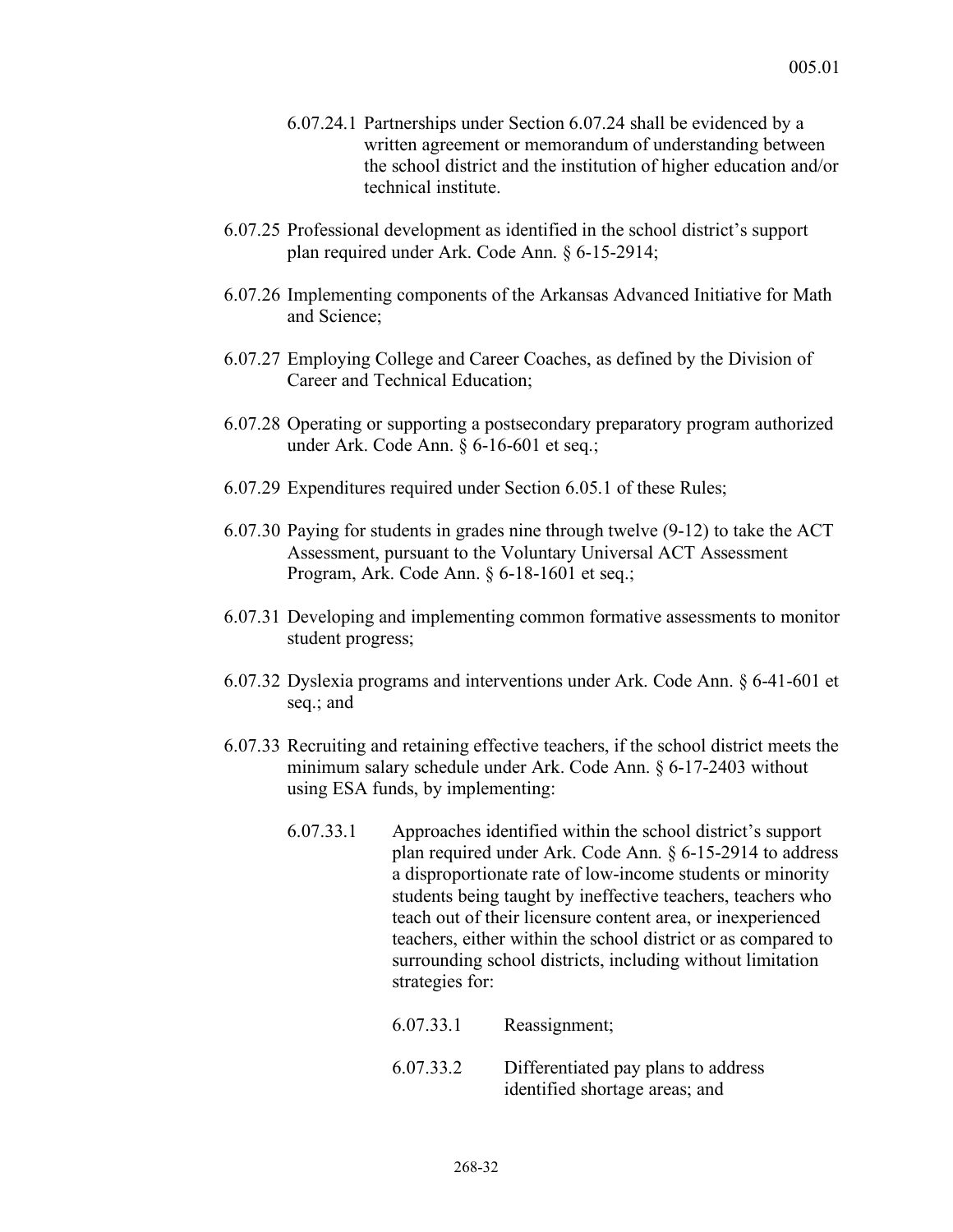- 6.07.24.1 Partnerships under Section 6.07.24 shall be evidenced by a written agreement or memorandum of understanding between the school district and the institution of higher education and/or technical institute.
- 6.07.25 Professional development as identified in the school district's support plan required under Ark. Code Ann. § 6-15-2914;
- 6.07.26 Implementing components of the Arkansas Advanced Initiative for Math and Science;
- 6.07.27 Employing College and Career Coaches, as defined by the Division of Career and Technical Education;
- 6.07.28 Operating or supporting a postsecondary preparatory program authorized under Ark. Code Ann. § 6-16-601 et seq.;
- 6.07.29 Expenditures required under Section 6.05.1 of these Rules;
- 6.07.30 Paying for students in grades nine through twelve (9-12) to take the ACT Assessment, pursuant to the Voluntary Universal ACT Assessment Program, Ark. Code Ann. § 6-18-1601 et seq.;
- 6.07.31 Developing and implementing common formative assessments to monitor student progress;
- 6.07.32 Dyslexia programs and interventions under Ark. Code Ann. § 6-41-601 et seq.; and
- 6.07.33 Recruiting and retaining effective teachers, if the school district meets the minimum salary schedule under Ark. Code Ann. § 6-17-2403 without using ESA funds, by implementing:
	- 6.07.33.1 Approaches identified within the school district's support plan required under Ark. Code Ann. § 6-15-2914 to address a disproportionate rate of low-income students or minority students being taught by ineffective teachers, teachers who teach out of their licensure content area, or inexperienced teachers, either within the school district or as compared to surrounding school districts, including without limitation strategies for:
		- 6.07.33.1 Reassignment;
		- 6.07.33.2 Differentiated pay plans to address identified shortage areas; and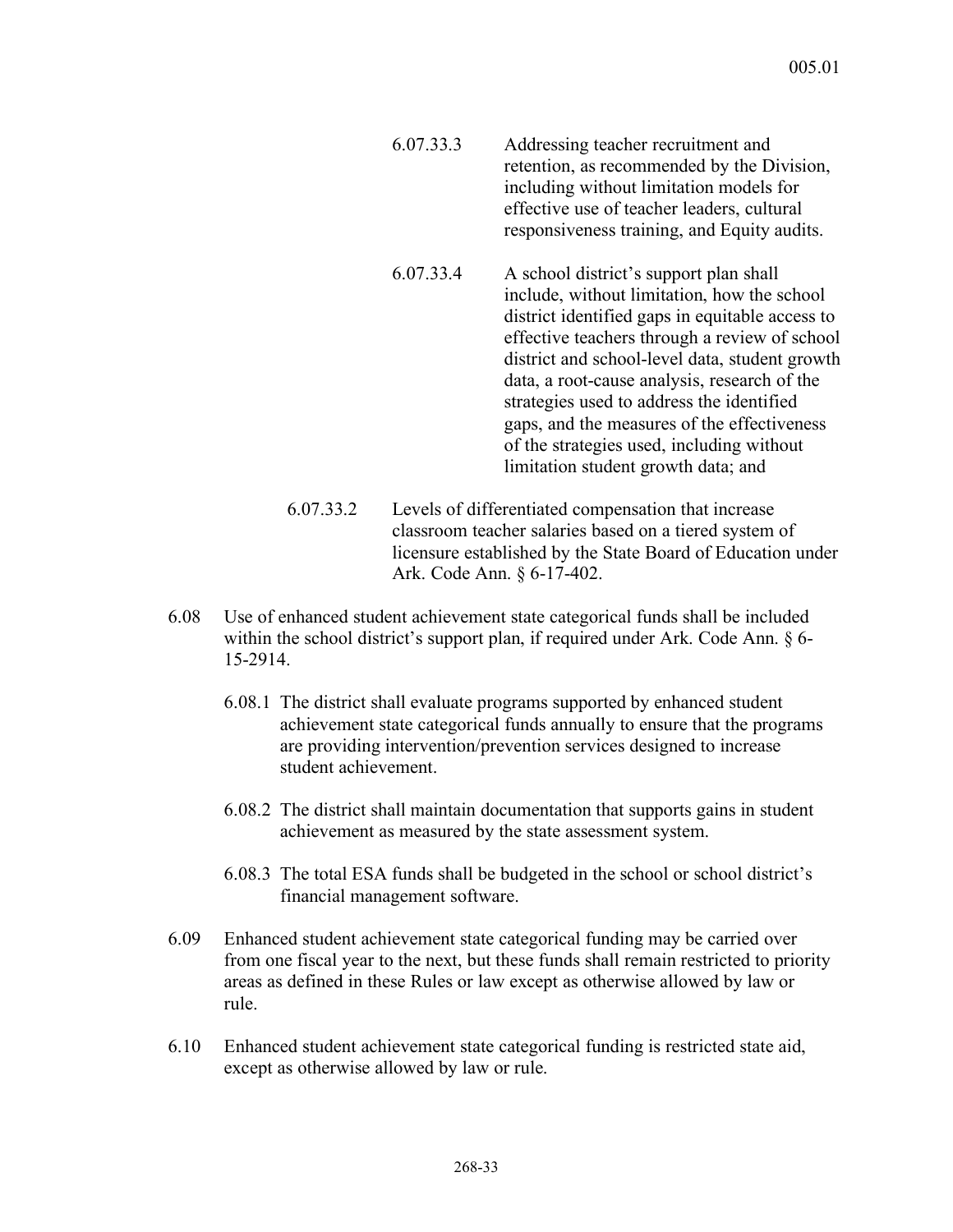- 6.07.33.3 Addressing teacher recruitment and retention, as recommended by the Division, including without limitation models for effective use of teacher leaders, cultural responsiveness training, and Equity audits.
- 6.07.33.4 A school district's support plan shall include, without limitation, how the school district identified gaps in equitable access to effective teachers through a review of school district and school-level data, student growth data, a root-cause analysis, research of the strategies used to address the identified gaps, and the measures of the effectiveness of the strategies used, including without limitation student growth data; and
- 6.07.33.2 Levels of differentiated compensation that increase classroom teacher salaries based on a tiered system of licensure established by the State Board of Education under Ark. Code Ann. § 6-17-402.
- 6.08 Use of enhanced student achievement state categorical funds shall be included within the school district's support plan, if required under Ark. Code Ann. § 6-15-2914.
	- 6.08.1 The district shall evaluate programs supported by enhanced student achievement state categorical funds annually to ensure that the programs are providing intervention/prevention services designed to increase student achievement.
	- 6.08.2 The district shall maintain documentation that supports gains in student achievement as measured by the state assessment system.
	- 6.08.3 The total ESA funds shall be budgeted in the school or school district's financial management software.
- 6.09 Enhanced student achievement state categorical funding may be carried over from one fiscal year to the next, but these funds shall remain restricted to priority areas as defined in these Rules or law except as otherwise allowed by law or rule.
- 6.10 Enhanced student achievement state categorical funding is restricted state aid, except as otherwise allowed by law or rule.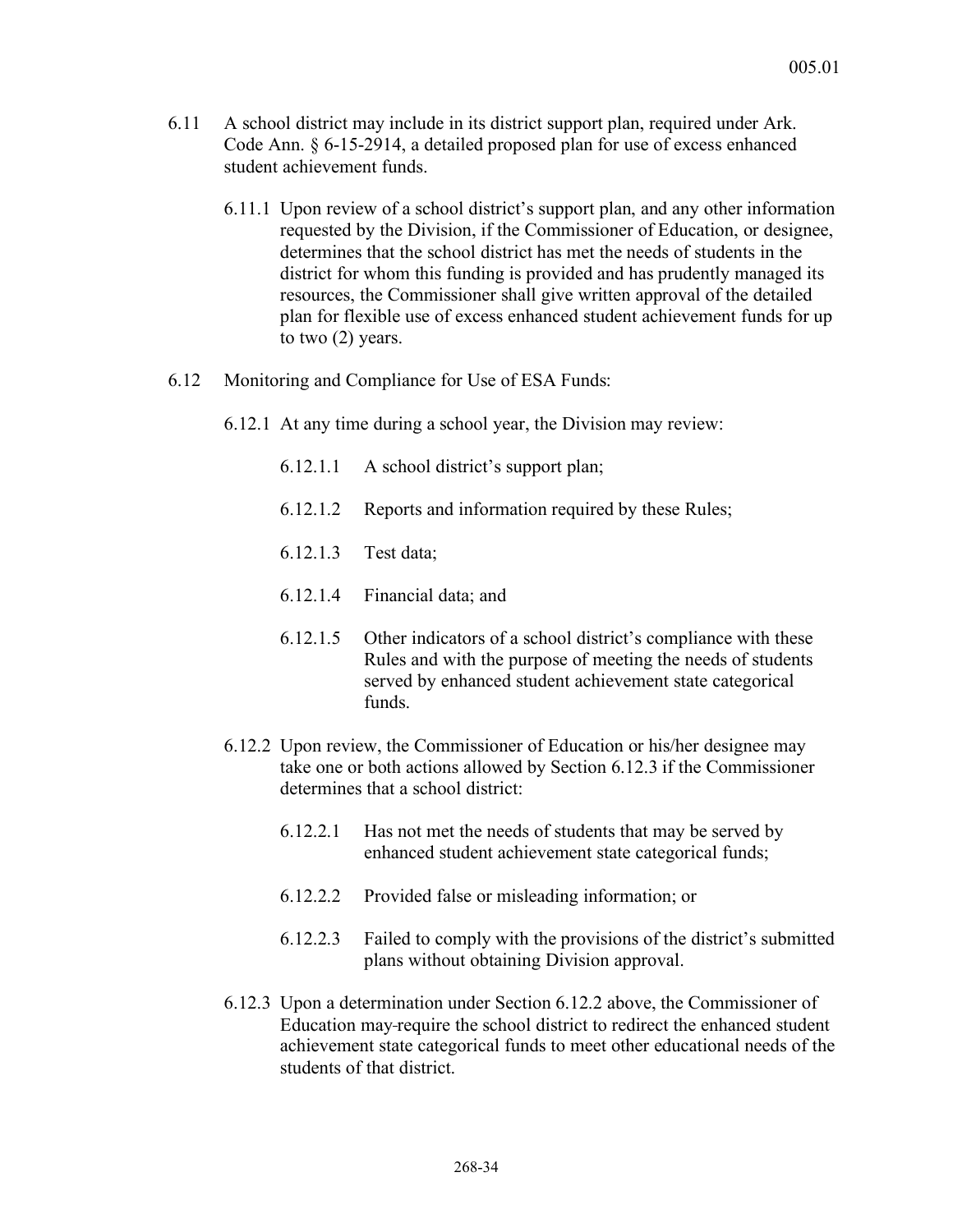- 6.11 A school district may include in its district support plan, required under Ark. Code Ann. § 6-15-2914, a detailed proposed plan for use of excess enhanced student achievement funds.
	- 6.11.1 Upon review of a school district's support plan, and any other information requested by the Division, if the Commissioner of Education, or designee, determines that the school district has met the needs of students in the district for whom this funding is provided and has prudently managed its resources, the Commissioner shall give written approval of the detailed plan for flexible use of excess enhanced student achievement funds for up to two (2) years.
- 6.12 Monitoring and Compliance for Use of ESA Funds:
	- 6.12.1 At any time during a school year, the Division may review:
		- 6.12.1.1 A school district's support plan;
		- 6.12.1.2 Reports and information required by these Rules;
		- 6.12.1.3 Test data;
		- 6.12.1.4 Financial data; and
		- 6.12.1.5 Other indicators of a school district's compliance with these Rules and with the purpose of meeting the needs of students served by enhanced student achievement state categorical funds.
	- 6.12.2 Upon review, the Commissioner of Education or his/her designee may take one or both actions allowed by Section 6.12.3 if the Commissioner determines that a school district:
		- 6.12.2.1 Has not met the needs of students that may be served by enhanced student achievement state categorical funds;
		- 6.12.2.2 Provided false or misleading information; or
		- 6.12.2.3 Failed to comply with the provisions of the district's submitted plans without obtaining Division approval.
	- 6.12.3 Upon a determination under Section 6.12.2 above, the Commissioner of Education may require the school district to redirect the enhanced student achievement state categorical funds to meet other educational needs of the students of that district.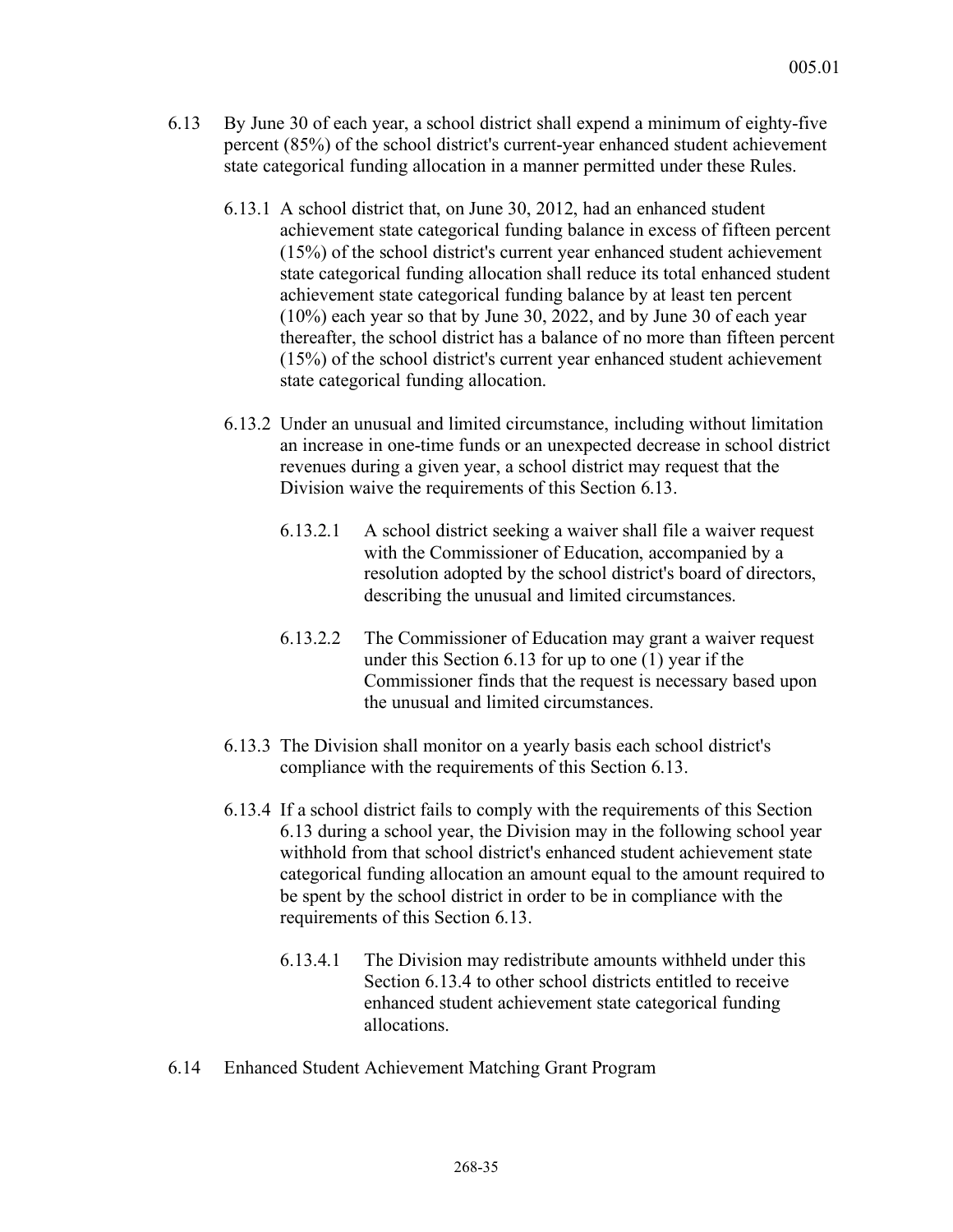- 6.13 By June 30 of each year, a school district shall expend a minimum of eighty-five percent (85%) of the school district's current-year enhanced student achievement state categorical funding allocation in a manner permitted under these Rules.
	- 6.13.1 A school district that, on June 30, 2012, had an enhanced student achievement state categorical funding balance in excess of fifteen percent (15%) of the school district's current year enhanced student achievement state categorical funding allocation shall reduce its total enhanced student achievement state categorical funding balance by at least ten percent (10%) each year so that by June 30, 2022, and by June 30 of each year thereafter, the school district has a balance of no more than fifteen percent (15%) of the school district's current year enhanced student achievement state categorical funding allocation.
	- 6.13.2 Under an unusual and limited circumstance, including without limitation an increase in one-time funds or an unexpected decrease in school district revenues during a given year, a school district may request that the Division waive the requirements of this Section 6.13.
		- 6.13.2.1 A school district seeking a waiver shall file a waiver request with the Commissioner of Education, accompanied by a resolution adopted by the school district's board of directors, describing the unusual and limited circumstances.
		- 6.13.2.2 The Commissioner of Education may grant a waiver request under this Section 6.13 for up to one (1) year if the Commissioner finds that the request is necessary based upon the unusual and limited circumstances.
	- 6.13.3 The Division shall monitor on a yearly basis each school district's compliance with the requirements of this Section 6.13.
	- 6.13.4 If a school district fails to comply with the requirements of this Section 6.13 during a school year, the Division may in the following school year withhold from that school district's enhanced student achievement state categorical funding allocation an amount equal to the amount required to be spent by the school district in order to be in compliance with the requirements of this Section 6.13.
		- 6.13.4.1 The Division may redistribute amounts withheld under this Section 6.13.4 to other school districts entitled to receive enhanced student achievement state categorical funding allocations.
- 6.14 Enhanced Student Achievement Matching Grant Program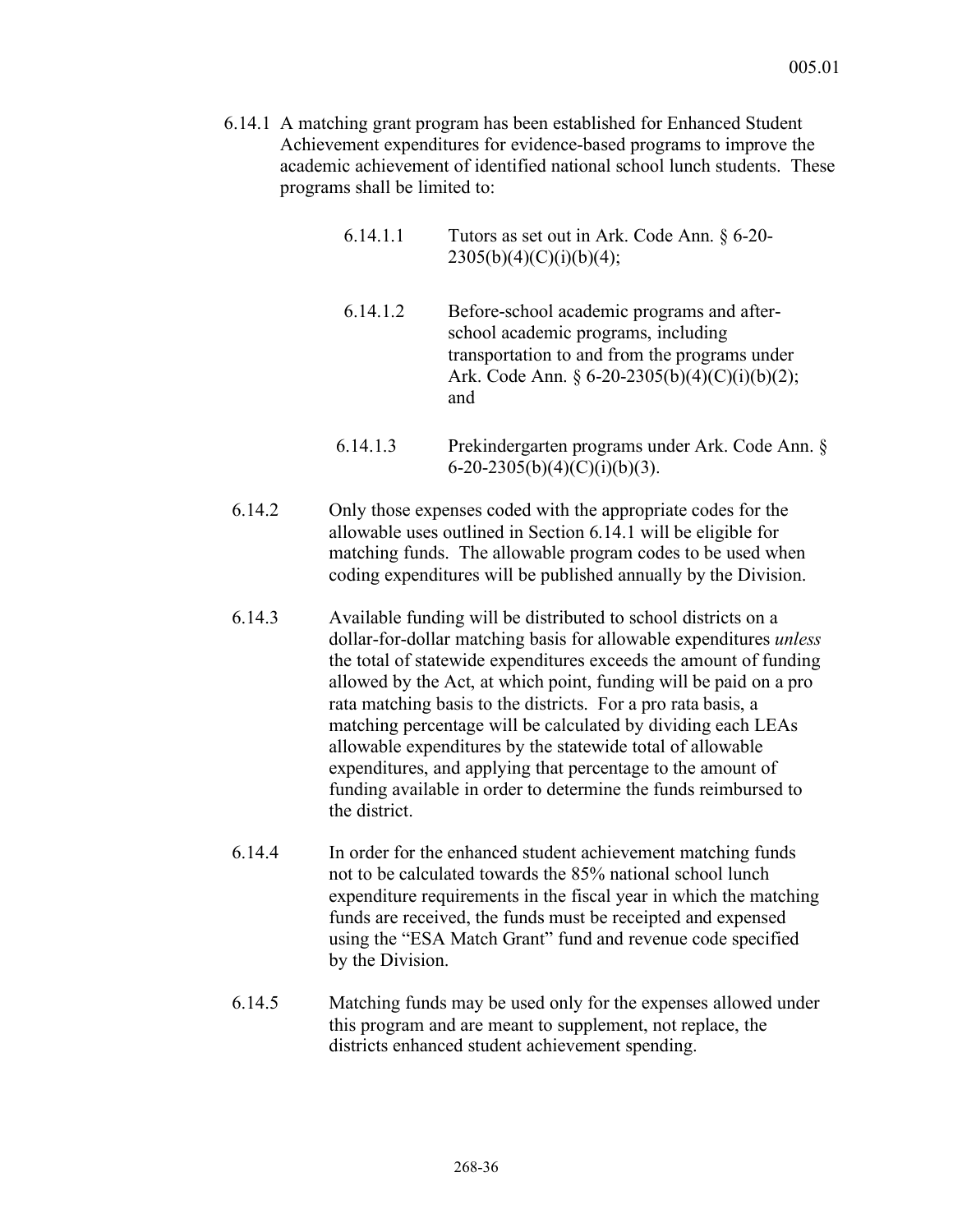6.14.1 A matching grant program has been established for Enhanced Student Achievement expenditures for evidence-based programs to improve the academic achievement of identified national school lunch students. These programs shall be limited to:

| 6.14.1.1 | Tutors as set out in Ark. Code Ann. § 6-20-<br>2305(b)(4)(C)(i)(b)(4);                                                                                                                     |
|----------|--------------------------------------------------------------------------------------------------------------------------------------------------------------------------------------------|
| 6.14.1.2 | Before-school academic programs and after-<br>school academic programs, including<br>transportation to and from the programs under<br>Ark. Code Ann. § 6-20-2305(b)(4)(C)(i)(b)(2);<br>and |

- 6.14.1.3 Prekindergarten programs under Ark. Code Ann. §  $6-20-2305(b)(4)(C)(i)(b)(3)$ .
- 6.14.2 Only those expenses coded with the appropriate codes for the allowable uses outlined in Section 6.14.1 will be eligible for matching funds. The allowable program codes to be used when coding expenditures will be published annually by the Division.
- 6.14.3 Available funding will be distributed to school districts on a dollar-for-dollar matching basis for allowable expenditures *unless* the total of statewide expenditures exceeds the amount of funding allowed by the Act, at which point, funding will be paid on a pro rata matching basis to the districts. For a pro rata basis, a matching percentage will be calculated by dividing each LEAs allowable expenditures by the statewide total of allowable expenditures, and applying that percentage to the amount of funding available in order to determine the funds reimbursed to the district.
- 6.14.4 In order for the enhanced student achievement matching funds not to be calculated towards the 85% national school lunch expenditure requirements in the fiscal year in which the matching funds are received, the funds must be receipted and expensed using the "ESA Match Grant" fund and revenue code specified by the Division.
- 6.14.5 Matching funds may be used only for the expenses allowed under this program and are meant to supplement, not replace, the districts enhanced student achievement spending.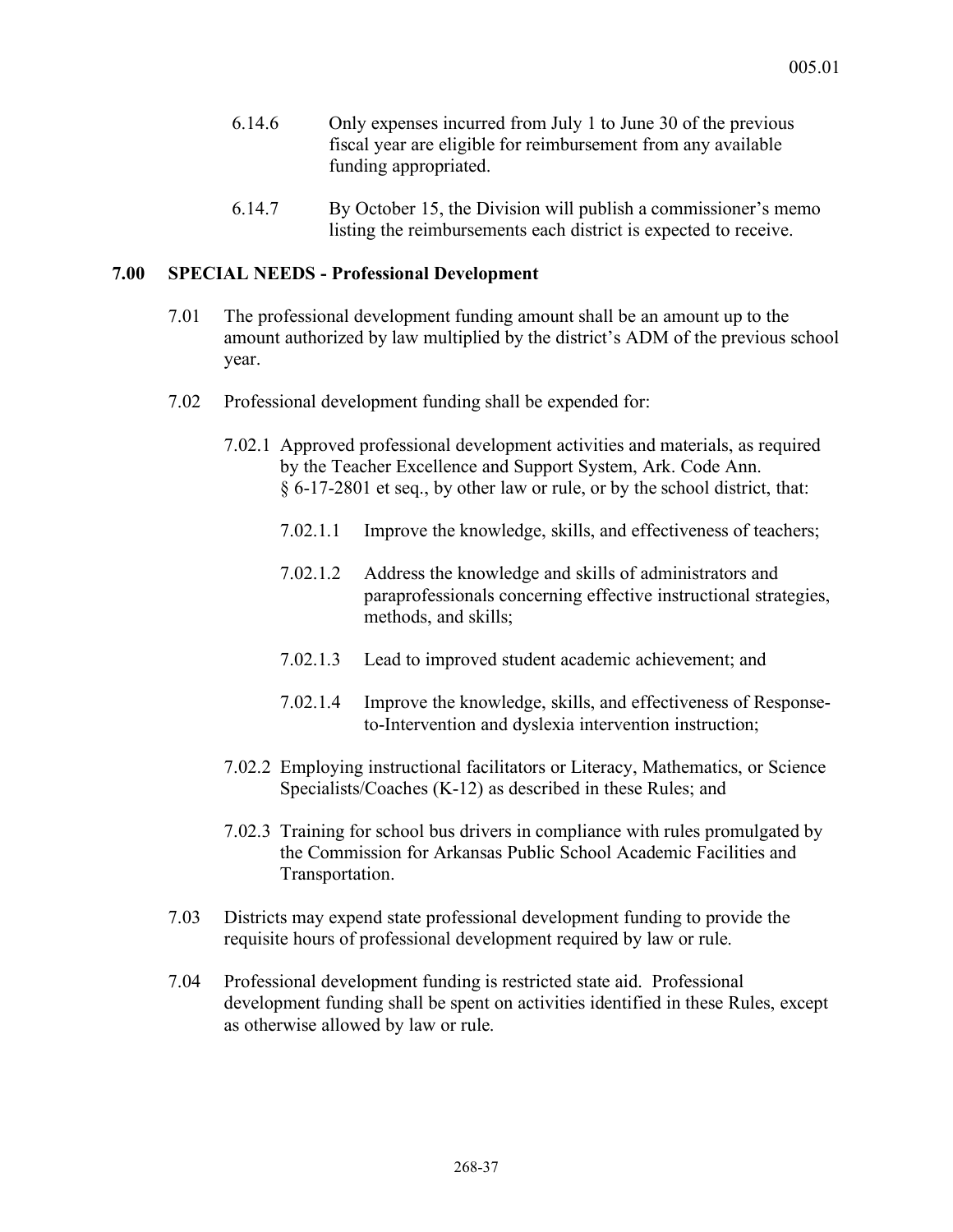- 6.14.6 Only expenses incurred from July 1 to June 30 of the previous fiscal year are eligible for reimbursement from any available funding appropriated.
- 6.14.7 By October 15, the Division will publish a commissioner's memo listing the reimbursements each district is expected to receive.

# **7.00 SPECIAL NEEDS - Professional Development**

- 7.01 The professional development funding amount shall be an amount up to the amount authorized by law multiplied by the district's ADM of the previous school year.
- 7.02 Professional development funding shall be expended for:
	- 7.02.1 Approved professional development activities and materials, as required by the Teacher Excellence and Support System, Ark. Code Ann. § 6-17-2801 et seq., by other law or rule, or by the school district, that:
		- 7.02.1.1 Improve the knowledge, skills, and effectiveness of teachers;
		- 7.02.1.2 Address the knowledge and skills of administrators and paraprofessionals concerning effective instructional strategies, methods, and skills;
		- 7.02.1.3 Lead to improved student academic achievement; and
		- 7.02.1.4 Improve the knowledge, skills, and effectiveness of Responseto-Intervention and dyslexia intervention instruction;
	- 7.02.2 Employing instructional facilitators or Literacy, Mathematics, or Science Specialists/Coaches (K-12) as described in these Rules; and
	- 7.02.3 Training for school bus drivers in compliance with rules promulgated by the Commission for Arkansas Public School Academic Facilities and Transportation.
- 7.03 Districts may expend state professional development funding to provide the requisite hours of professional development required by law or rule.
- 7.04 Professional development funding is restricted state aid. Professional development funding shall be spent on activities identified in these Rules, except as otherwise allowed by law or rule.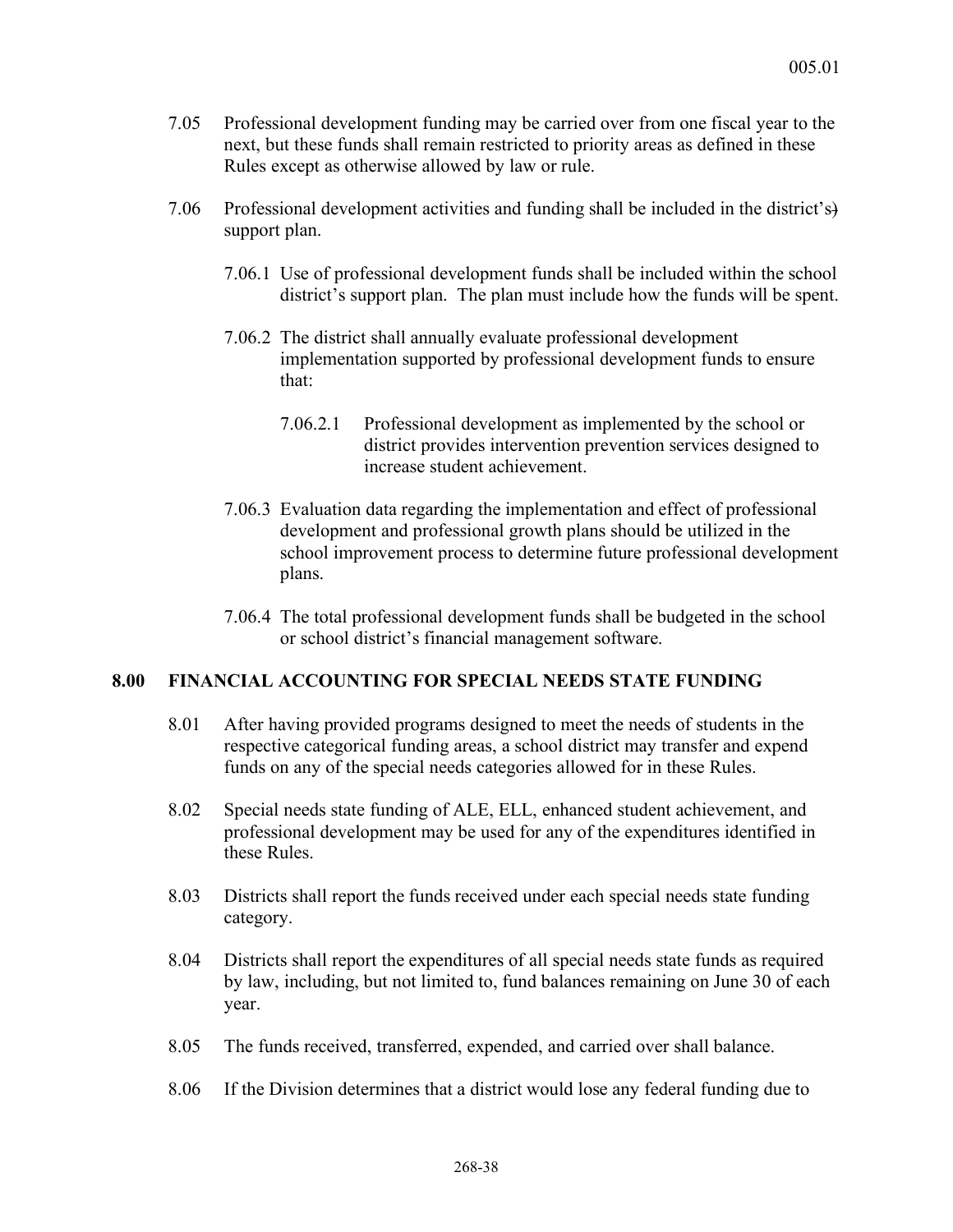- 7.05 Professional development funding may be carried over from one fiscal year to the next, but these funds shall remain restricted to priority areas as defined in these Rules except as otherwise allowed by law or rule.
- 7.06 Professional development activities and funding shall be included in the district's) support plan.
	- 7.06.1 Use of professional development funds shall be included within the school district's support plan. The plan must include how the funds will be spent.
	- 7.06.2 The district shall annually evaluate professional development implementation supported by professional development funds to ensure that:
		- 7.06.2.1 Professional development as implemented by the school or district provides intervention prevention services designed to increase student achievement.
	- 7.06.3 Evaluation data regarding the implementation and effect of professional development and professional growth plans should be utilized in the school improvement process to determine future professional development plans.
	- 7.06.4 The total professional development funds shall be budgeted in the school or school district's financial management software.

## **8.00 FINANCIAL ACCOUNTING FOR SPECIAL NEEDS STATE FUNDING**

- 8.01 After having provided programs designed to meet the needs of students in the respective categorical funding areas, a school district may transfer and expend funds on any of the special needs categories allowed for in these Rules.
- 8.02 Special needs state funding of ALE, ELL, enhanced student achievement, and professional development may be used for any of the expenditures identified in these Rules.
- 8.03 Districts shall report the funds received under each special needs state funding category.
- 8.04 Districts shall report the expenditures of all special needs state funds as required by law, including, but not limited to, fund balances remaining on June 30 of each year.
- 8.05 The funds received, transferred, expended, and carried over shall balance.
- 8.06 If the Division determines that a district would lose any federal funding due to